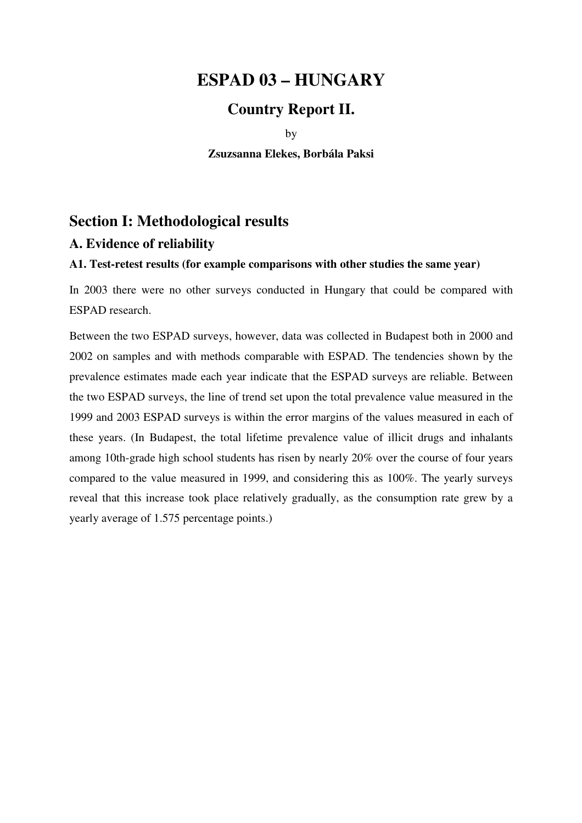# **ESPAD 03 – HUNGARY**

# **Country Report II.**

by

**Zsuzsanna Elekes, Borbála Paksi** 

# **Section I: Methodological results**

# **A. Evidence of reliability**

# **A1. Test-retest results (for example comparisons with other studies the same year)**

In 2003 there were no other surveys conducted in Hungary that could be compared with ESPAD research.

Between the two ESPAD surveys, however, data was collected in Budapest both in 2000 and 2002 on samples and with methods comparable with ESPAD. The tendencies shown by the prevalence estimates made each year indicate that the ESPAD surveys are reliable. Between the two ESPAD surveys, the line of trend set upon the total prevalence value measured in the 1999 and 2003 ESPAD surveys is within the error margins of the values measured in each of these years. (In Budapest, the total lifetime prevalence value of illicit drugs and inhalants among 10th-grade high school students has risen by nearly 20% over the course of four years compared to the value measured in 1999, and considering this as 100%. The yearly surveys reveal that this increase took place relatively gradually, as the consumption rate grew by a yearly average of 1.575 percentage points.)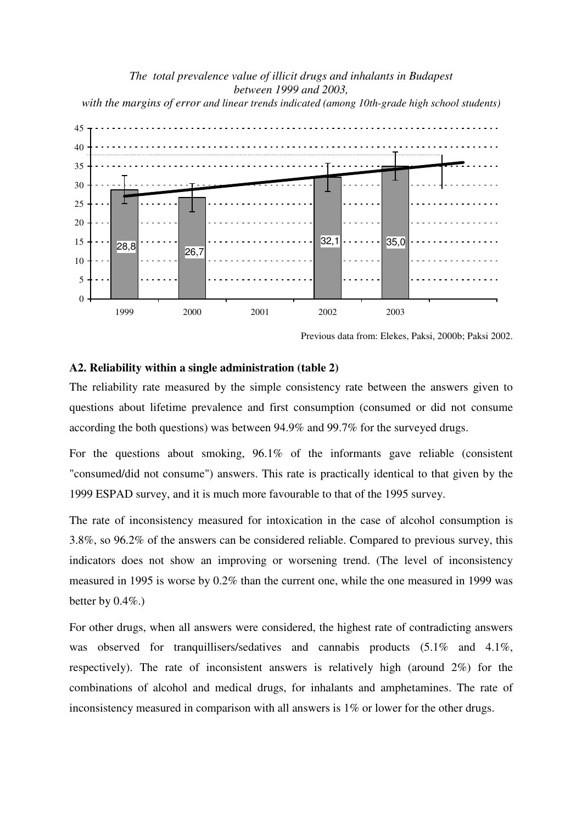### *The total prevalence value of illicit drugs and inhalants in Budapest between 1999 and 2003,*

*with the margins of error and linear trends indicated (among 10th-grade high school students)* 



Previous data from: Elekes, Paksi, 2000b; Paksi 2002.

#### **A2. Reliability within a single administration (table 2)**

The reliability rate measured by the simple consistency rate between the answers given to questions about lifetime prevalence and first consumption (consumed or did not consume according the both questions) was between 94.9% and 99.7% for the surveyed drugs.

For the questions about smoking, 96.1% of the informants gave reliable (consistent "consumed/did not consume") answers. This rate is practically identical to that given by the 1999 ESPAD survey, and it is much more favourable to that of the 1995 survey.

The rate of inconsistency measured for intoxication in the case of alcohol consumption is 3.8%, so 96.2% of the answers can be considered reliable. Compared to previous survey, this indicators does not show an improving or worsening trend. (The level of inconsistency measured in 1995 is worse by 0.2% than the current one, while the one measured in 1999 was better by  $0.4\%$ .

For other drugs, when all answers were considered, the highest rate of contradicting answers was observed for tranquillisers/sedatives and cannabis products  $(5.1\%$  and  $4.1\%$ , respectively). The rate of inconsistent answers is relatively high (around 2%) for the combinations of alcohol and medical drugs, for inhalants and amphetamines. The rate of inconsistency measured in comparison with all answers is 1% or lower for the other drugs.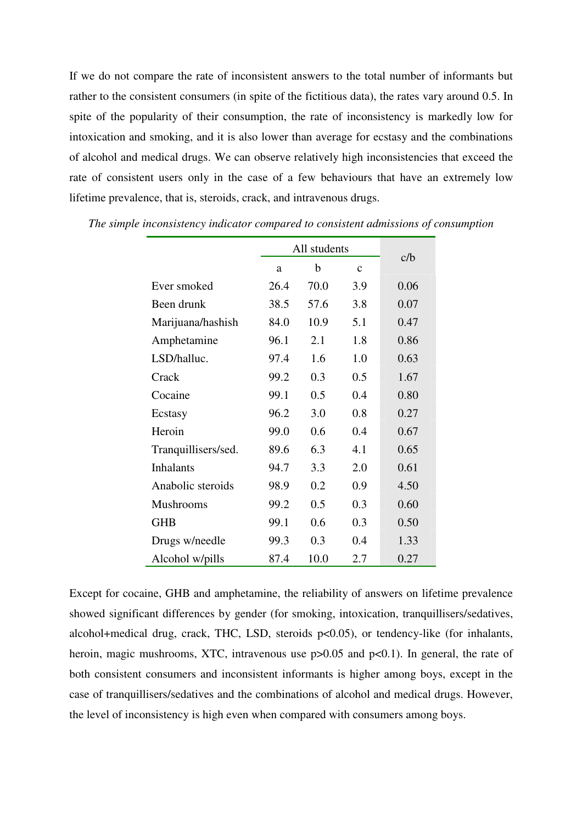If we do not compare the rate of inconsistent answers to the total number of informants but rather to the consistent consumers (in spite of the fictitious data), the rates vary around 0.5. In spite of the popularity of their consumption, the rate of inconsistency is markedly low for intoxication and smoking, and it is also lower than average for ecstasy and the combinations of alcohol and medical drugs. We can observe relatively high inconsistencies that exceed the rate of consistent users only in the case of a few behaviours that have an extremely low lifetime prevalence, that is, steroids, crack, and intravenous drugs.

|                     | All students | c/b  |              |      |
|---------------------|--------------|------|--------------|------|
|                     | a            | b    | $\mathbf{C}$ |      |
| Ever smoked         | 26.4         | 70.0 | 3.9          | 0.06 |
| Been drunk          | 38.5         | 57.6 | 3.8          | 0.07 |
| Marijuana/hashish   | 84.0         | 10.9 | 5.1          | 0.47 |
| Amphetamine         | 96.1         | 2.1  | 1.8          | 0.86 |
| LSD/halluc.         | 97.4         | 1.6  | 1.0          | 0.63 |
| Crack               | 99.2         | 0.3  | 0.5          | 1.67 |
| Cocaine             | 99.1         | 0.5  | 0.4          | 0.80 |
| Ecstasy             | 96.2         | 3.0  | 0.8          | 0.27 |
| Heroin              | 99.0         | 0.6  | 0.4          | 0.67 |
| Tranquillisers/sed. | 89.6         | 6.3  | 4.1          | 0.65 |
| <b>Inhalants</b>    | 94.7         | 3.3  | 2.0          | 0.61 |
| Anabolic steroids   | 98.9         | 0.2  | 0.9          | 4.50 |
| <b>Mushrooms</b>    | 99.2         | 0.5  | 0.3          | 0.60 |
| <b>GHB</b>          | 99.1         | 0.6  | 0.3          | 0.50 |
| Drugs w/needle      | 99.3         | 0.3  | 0.4          | 1.33 |
| Alcohol w/pills     | 87.4         | 10.0 | 2.7          | 0.27 |

*The simple inconsistency indicator compared to consistent admissions of consumption* 

Except for cocaine, GHB and amphetamine, the reliability of answers on lifetime prevalence showed significant differences by gender (for smoking, intoxication, tranquillisers/sedatives, alcohol+medical drug, crack, THC, LSD, steroids p<0.05), or tendency-like (for inhalants, heroin, magic mushrooms, XTC, intravenous use  $p > 0.05$  and  $p < 0.1$ ). In general, the rate of both consistent consumers and inconsistent informants is higher among boys, except in the case of tranquillisers/sedatives and the combinations of alcohol and medical drugs. However, the level of inconsistency is high even when compared with consumers among boys.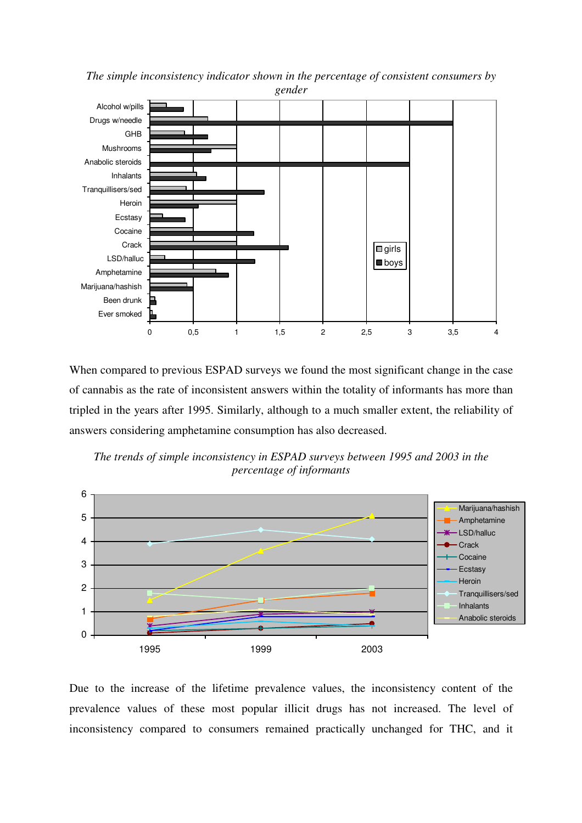

*The simple inconsistency indicator shown in the percentage of consistent consumers by gender* 

When compared to previous ESPAD surveys we found the most significant change in the case of cannabis as the rate of inconsistent answers within the totality of informants has more than tripled in the years after 1995. Similarly, although to a much smaller extent, the reliability of answers considering amphetamine consumption has also decreased.



*The trends of simple inconsistency in ESPAD surveys between 1995 and 2003 in the percentage of informants* 

Due to the increase of the lifetime prevalence values, the inconsistency content of the prevalence values of these most popular illicit drugs has not increased. The level of inconsistency compared to consumers remained practically unchanged for THC, and it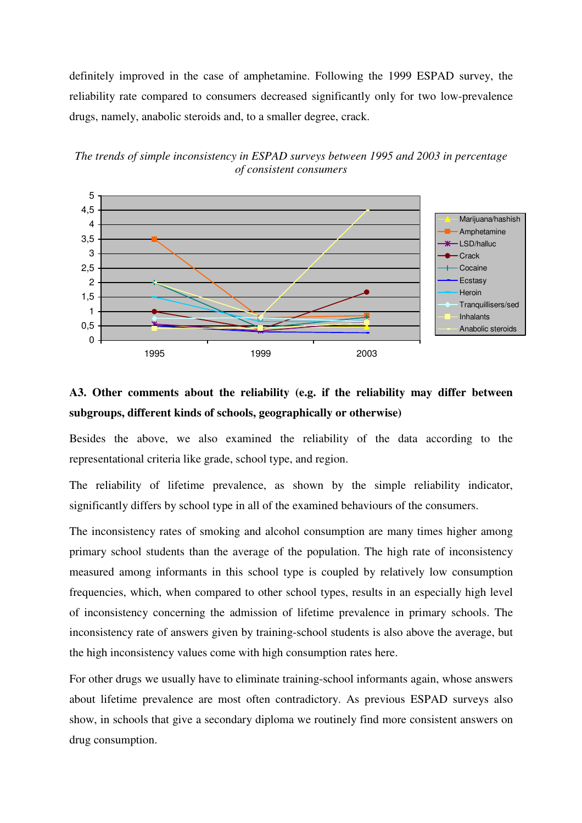definitely improved in the case of amphetamine. Following the 1999 ESPAD survey, the reliability rate compared to consumers decreased significantly only for two low-prevalence drugs, namely, anabolic steroids and, to a smaller degree, crack.





# **A3. Other comments about the reliability (e.g. if the reliability may differ between subgroups, different kinds of schools, geographically or otherwise)**

Besides the above, we also examined the reliability of the data according to the representational criteria like grade, school type, and region.

The reliability of lifetime prevalence, as shown by the simple reliability indicator, significantly differs by school type in all of the examined behaviours of the consumers.

The inconsistency rates of smoking and alcohol consumption are many times higher among primary school students than the average of the population. The high rate of inconsistency measured among informants in this school type is coupled by relatively low consumption frequencies, which, when compared to other school types, results in an especially high level of inconsistency concerning the admission of lifetime prevalence in primary schools. The inconsistency rate of answers given by training-school students is also above the average, but the high inconsistency values come with high consumption rates here.

For other drugs we usually have to eliminate training-school informants again, whose answers about lifetime prevalence are most often contradictory. As previous ESPAD surveys also show, in schools that give a secondary diploma we routinely find more consistent answers on drug consumption.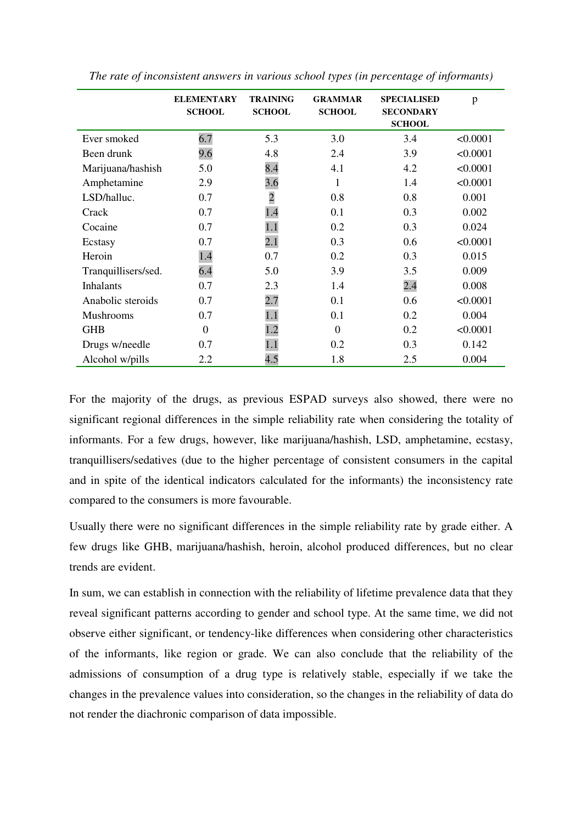|                     | <b>ELEMENTARY</b><br><b>SCHOOL</b> | <b>TRAINING</b><br><b>SCHOOL</b> | <b>GRAMMAR</b><br><b>SCHOOL</b> | <b>SPECIALISED</b><br><b>SECONDARY</b><br><b>SCHOOL</b> | p        |
|---------------------|------------------------------------|----------------------------------|---------------------------------|---------------------------------------------------------|----------|
| Ever smoked         | 6.7                                | 5.3                              | 3.0                             | 3.4                                                     | < 0.0001 |
| Been drunk          | 9.6                                | 4.8                              | 2.4                             | 3.9                                                     | < 0.0001 |
| Marijuana/hashish   | 5.0                                | 8.4                              | 4.1                             | 4.2                                                     | < 0.0001 |
| Amphetamine         | 2.9                                | 3.6                              | 1                               | 1.4                                                     | < 0.0001 |
| LSD/halluc.         | 0.7                                | $\overline{c}$                   | 0.8                             | 0.8                                                     | 0.001    |
| Crack               | 0.7                                | 1.4                              | 0.1                             | 0.3                                                     | 0.002    |
| Cocaine             | 0.7                                | 1.1                              | 0.2                             | 0.3                                                     | 0.024    |
| Ecstasy             | 0.7                                | 2.1                              | 0.3                             | 0.6                                                     | < 0.0001 |
| Heroin              | 1.4                                | 0.7                              | 0.2                             | 0.3                                                     | 0.015    |
| Tranquillisers/sed. | 6.4                                | 5.0                              | 3.9                             | 3.5                                                     | 0.009    |
| <b>Inhalants</b>    | 0.7                                | 2.3                              | 1.4                             | 2.4                                                     | 0.008    |
| Anabolic steroids   | 0.7                                | 2.7                              | 0.1                             | 0.6                                                     | < 0.0001 |
| Mushrooms           | 0.7                                | 1.1                              | 0.1                             | 0.2                                                     | 0.004    |
| <b>GHB</b>          | $\overline{0}$                     | 1.2                              | $\theta$                        | 0.2                                                     | < 0.0001 |
| Drugs w/needle      | 0.7                                | 1.1                              | 0.2                             | 0.3                                                     | 0.142    |
| Alcohol w/pills     | 2.2                                | 4.5                              | 1.8                             | 2.5                                                     | 0.004    |

*The rate of inconsistent answers in various school types (in percentage of informants)* 

For the majority of the drugs, as previous ESPAD surveys also showed, there were no significant regional differences in the simple reliability rate when considering the totality of informants. For a few drugs, however, like marijuana/hashish, LSD, amphetamine, ecstasy, tranquillisers/sedatives (due to the higher percentage of consistent consumers in the capital and in spite of the identical indicators calculated for the informants) the inconsistency rate compared to the consumers is more favourable.

Usually there were no significant differences in the simple reliability rate by grade either. A few drugs like GHB, marijuana/hashish, heroin, alcohol produced differences, but no clear trends are evident.

In sum, we can establish in connection with the reliability of lifetime prevalence data that they reveal significant patterns according to gender and school type. At the same time, we did not observe either significant, or tendency-like differences when considering other characteristics of the informants, like region or grade. We can also conclude that the reliability of the admissions of consumption of a drug type is relatively stable, especially if we take the changes in the prevalence values into consideration, so the changes in the reliability of data do not render the diachronic comparison of data impossible.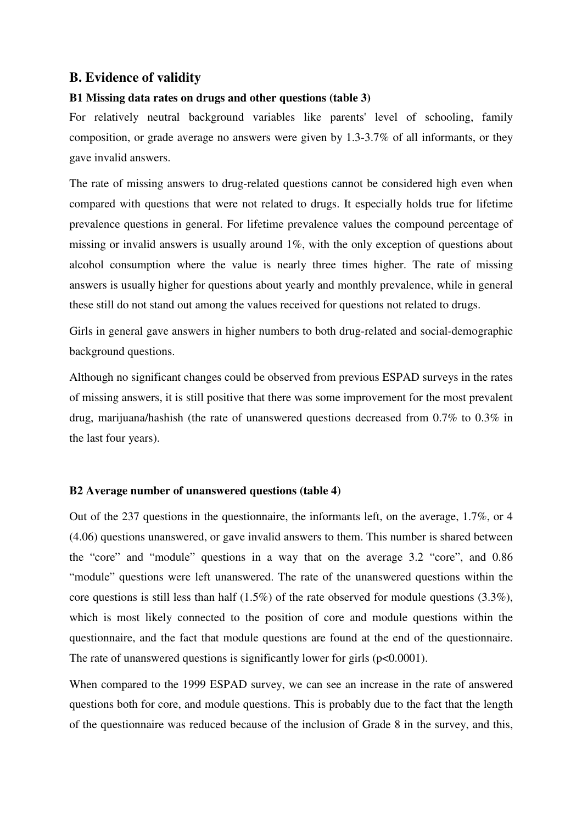# **B. Evidence of validity**

## **B1 Missing data rates on drugs and other questions (table 3)**

For relatively neutral background variables like parents' level of schooling, family composition, or grade average no answers were given by 1.3-3.7% of all informants, or they gave invalid answers.

The rate of missing answers to drug-related questions cannot be considered high even when compared with questions that were not related to drugs. It especially holds true for lifetime prevalence questions in general. For lifetime prevalence values the compound percentage of missing or invalid answers is usually around 1%, with the only exception of questions about alcohol consumption where the value is nearly three times higher. The rate of missing answers is usually higher for questions about yearly and monthly prevalence, while in general these still do not stand out among the values received for questions not related to drugs.

Girls in general gave answers in higher numbers to both drug-related and social-demographic background questions.

Although no significant changes could be observed from previous ESPAD surveys in the rates of missing answers, it is still positive that there was some improvement for the most prevalent drug, marijuana/hashish (the rate of unanswered questions decreased from 0.7% to 0.3% in the last four years).

#### **B2 Average number of unanswered questions (table 4)**

Out of the 237 questions in the questionnaire, the informants left, on the average, 1.7%, or 4 (4.06) questions unanswered, or gave invalid answers to them. This number is shared between the "core" and "module" questions in a way that on the average 3.2 "core", and 0.86 "module" questions were left unanswered. The rate of the unanswered questions within the core questions is still less than half (1.5%) of the rate observed for module questions (3.3%), which is most likely connected to the position of core and module questions within the questionnaire, and the fact that module questions are found at the end of the questionnaire. The rate of unanswered questions is significantly lower for girls  $(p<0.0001)$ .

When compared to the 1999 ESPAD survey, we can see an increase in the rate of answered questions both for core, and module questions. This is probably due to the fact that the length of the questionnaire was reduced because of the inclusion of Grade 8 in the survey, and this,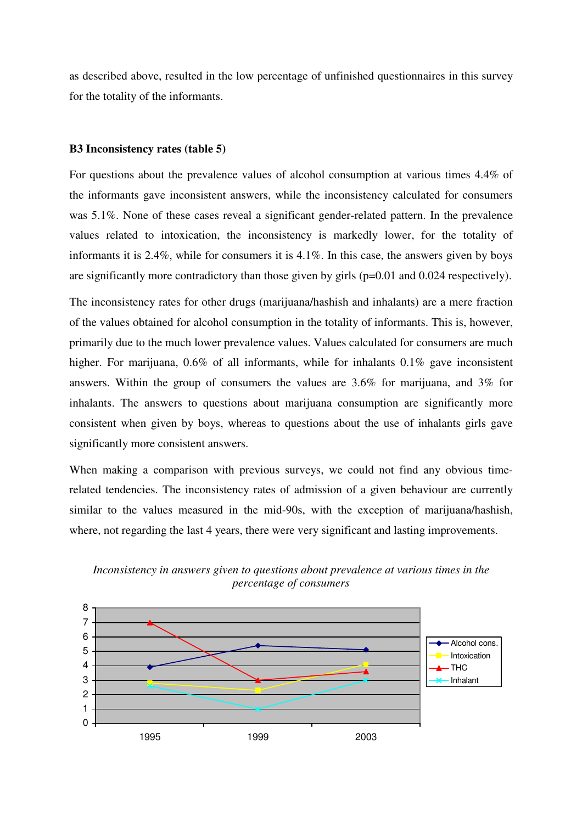as described above, resulted in the low percentage of unfinished questionnaires in this survey for the totality of the informants.

#### **B3 Inconsistency rates (table 5)**

For questions about the prevalence values of alcohol consumption at various times 4.4% of the informants gave inconsistent answers, while the inconsistency calculated for consumers was 5.1%. None of these cases reveal a significant gender-related pattern. In the prevalence values related to intoxication, the inconsistency is markedly lower, for the totality of informants it is 2.4%, while for consumers it is 4.1%. In this case, the answers given by boys are significantly more contradictory than those given by girls (p=0.01 and 0.024 respectively).

The inconsistency rates for other drugs (marijuana/hashish and inhalants) are a mere fraction of the values obtained for alcohol consumption in the totality of informants. This is, however, primarily due to the much lower prevalence values. Values calculated for consumers are much higher. For marijuana, 0.6% of all informants, while for inhalants 0.1% gave inconsistent answers. Within the group of consumers the values are 3.6% for marijuana, and 3% for inhalants. The answers to questions about marijuana consumption are significantly more consistent when given by boys, whereas to questions about the use of inhalants girls gave significantly more consistent answers.

When making a comparison with previous surveys, we could not find any obvious timerelated tendencies. The inconsistency rates of admission of a given behaviour are currently similar to the values measured in the mid-90s, with the exception of marijuana/hashish, where, not regarding the last 4 years, there were very significant and lasting improvements.



*Inconsistency in answers given to questions about prevalence at various times in the percentage of consumers*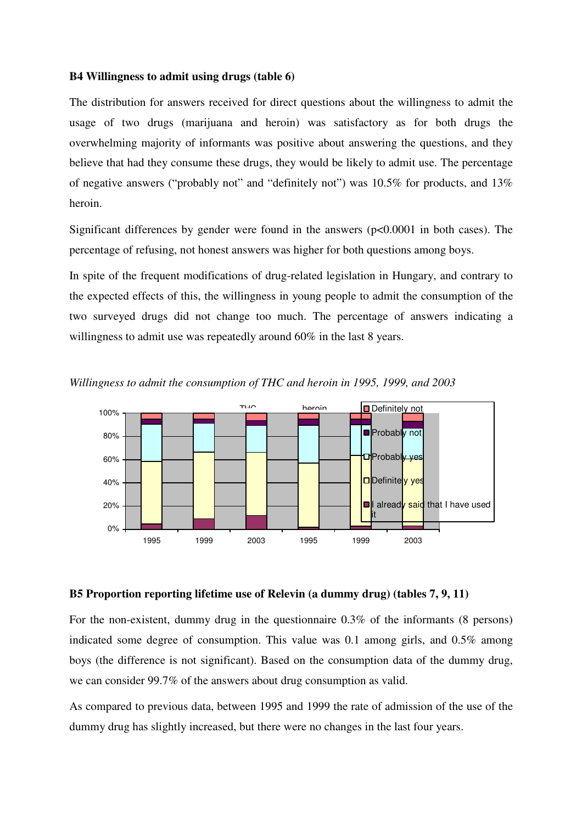#### **B4 Willingness to admit using drugs (table 6)**

The distribution for answers received for direct questions about the willingness to admit the usage of two drugs (marijuana and heroin) was satisfactory as for both drugs the overwhelming majority of informants was positive about answering the questions, and they believe that had they consume these drugs, they would be likely to admit use. The percentage of negative answers ("probably not" and "definitely not") was 10.5% for products, and 13% heroin.

Significant differences by gender were found in the answers  $(p<0.0001$  in both cases). The percentage of refusing, not honest answers was higher for both questions among boys.

In spite of the frequent modifications of drug-related legislation in Hungary, and contrary to the expected effects of this, the willingness in young people to admit the consumption of the two surveyed drugs did not change too much. The percentage of answers indicating a willingness to admit use was repeatedly around 60% in the last 8 years.



*Willingness to admit the consumption of THC and heroin in 1995, 1999, and 2003* 

### **B5 Proportion reporting lifetime use of Relevin (a dummy drug) (tables 7, 9, 11)**

For the non-existent, dummy drug in the questionnaire 0.3% of the informants (8 persons) indicated some degree of consumption. This value was 0.1 among girls, and 0.5% among boys (the difference is not significant). Based on the consumption data of the dummy drug, we can consider 99.7% of the answers about drug consumption as valid.

As compared to previous data, between 1995 and 1999 the rate of admission of the use of the dummy drug has slightly increased, but there were no changes in the last four years.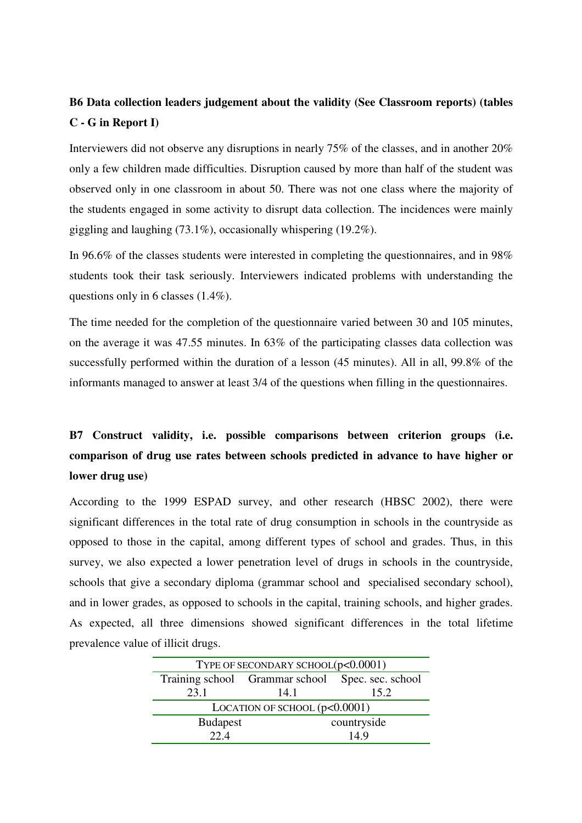# **B6 Data collection leaders judgement about the validity (See Classroom reports) (tables C - G in Report I)**

Interviewers did not observe any disruptions in nearly 75% of the classes, and in another 20% only a few children made difficulties. Disruption caused by more than half of the student was observed only in one classroom in about 50. There was not one class where the majority of the students engaged in some activity to disrupt data collection. The incidences were mainly giggling and laughing (73.1%), occasionally whispering (19.2%).

In 96.6% of the classes students were interested in completing the questionnaires, and in 98% students took their task seriously. Interviewers indicated problems with understanding the questions only in 6 classes (1.4%).

The time needed for the completion of the questionnaire varied between 30 and 105 minutes, on the average it was 47.55 minutes. In 63% of the participating classes data collection was successfully performed within the duration of a lesson (45 minutes). All in all, 99.8% of the informants managed to answer at least 3/4 of the questions when filling in the questionnaires.

# **B7 Construct validity, i.e. possible comparisons between criterion groups (i.e. comparison of drug use rates between schools predicted in advance to have higher or lower drug use)**

According to the 1999 ESPAD survey, and other research (HBSC 2002), there were significant differences in the total rate of drug consumption in schools in the countryside as opposed to those in the capital, among different types of school and grades. Thus, in this survey, we also expected a lower penetration level of drugs in schools in the countryside, schools that give a secondary diploma (grammar school and specialised secondary school), and in lower grades, as opposed to schools in the capital, training schools, and higher grades. As expected, all three dimensions showed significant differences in the total lifetime prevalence value of illicit drugs.

| TYPE OF SECONDARY SCHOOL(p<0.0001)               |  |  |  |  |  |
|--------------------------------------------------|--|--|--|--|--|
| Training school Grammar school Spec. sec. school |  |  |  |  |  |
| 23.1<br>15.2<br>14.1                             |  |  |  |  |  |
| LOCATION OF SCHOOL $(p<0.0001)$                  |  |  |  |  |  |
| countryside<br><b>Budapest</b>                   |  |  |  |  |  |
| 22.4<br>14.9                                     |  |  |  |  |  |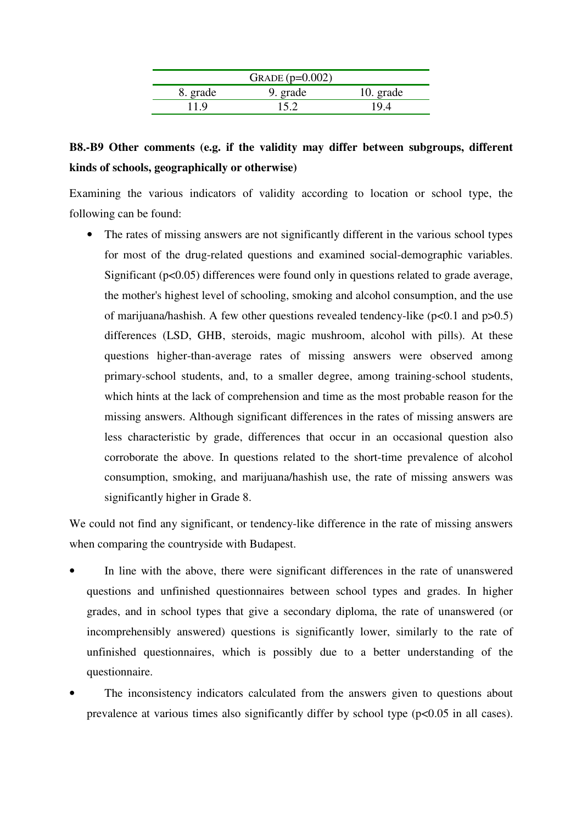|          | GRADE $(p=0.002)$ |           |
|----------|-------------------|-----------|
| 8. grade | 9. grade          | 10. grade |
| 11.9     | 15.2              | 19.4      |

# **B8.-B9 Other comments (e.g. if the validity may differ between subgroups, different kinds of schools, geographically or otherwise)**

Examining the various indicators of validity according to location or school type, the following can be found:

• The rates of missing answers are not significantly different in the various school types for most of the drug-related questions and examined social-demographic variables. Significant (p<0.05) differences were found only in questions related to grade average, the mother's highest level of schooling, smoking and alcohol consumption, and the use of marijuana/hashish. A few other questions revealed tendency-like  $(p<0.1$  and  $p>0.5$ ) differences (LSD, GHB, steroids, magic mushroom, alcohol with pills). At these questions higher-than-average rates of missing answers were observed among primary-school students, and, to a smaller degree, among training-school students, which hints at the lack of comprehension and time as the most probable reason for the missing answers. Although significant differences in the rates of missing answers are less characteristic by grade, differences that occur in an occasional question also corroborate the above. In questions related to the short-time prevalence of alcohol consumption, smoking, and marijuana/hashish use, the rate of missing answers was significantly higher in Grade 8.

We could not find any significant, or tendency-like difference in the rate of missing answers when comparing the countryside with Budapest.

- In line with the above, there were significant differences in the rate of unanswered questions and unfinished questionnaires between school types and grades. In higher grades, and in school types that give a secondary diploma, the rate of unanswered (or incomprehensibly answered) questions is significantly lower, similarly to the rate of unfinished questionnaires, which is possibly due to a better understanding of the questionnaire.
- The inconsistency indicators calculated from the answers given to questions about prevalence at various times also significantly differ by school type (p<0.05 in all cases).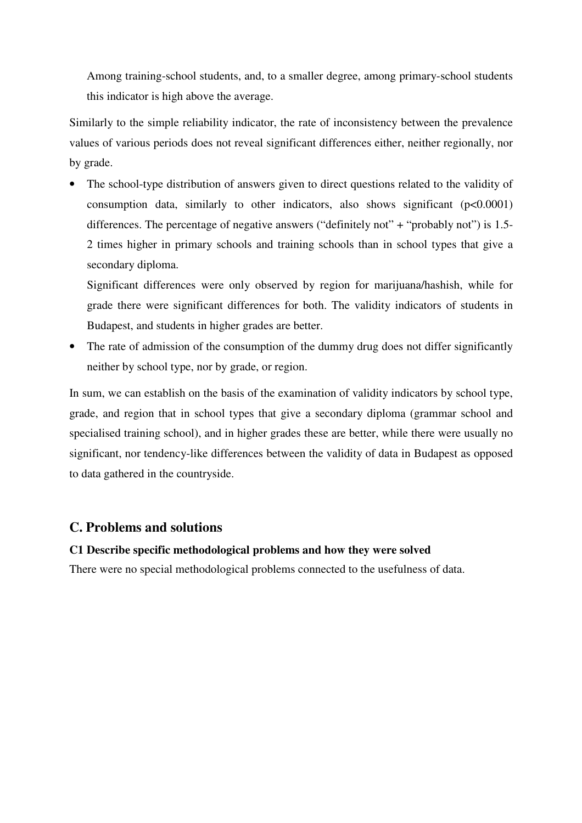Among training-school students, and, to a smaller degree, among primary-school students this indicator is high above the average.

Similarly to the simple reliability indicator, the rate of inconsistency between the prevalence values of various periods does not reveal significant differences either, neither regionally, nor by grade.

The school-type distribution of answers given to direct questions related to the validity of consumption data, similarly to other indicators, also shows significant (p<0.0001) differences. The percentage of negative answers ("definitely not" + "probably not") is  $1.5$ -2 times higher in primary schools and training schools than in school types that give a secondary diploma.

Significant differences were only observed by region for marijuana/hashish, while for grade there were significant differences for both. The validity indicators of students in Budapest, and students in higher grades are better.

• The rate of admission of the consumption of the dummy drug does not differ significantly neither by school type, nor by grade, or region.

In sum, we can establish on the basis of the examination of validity indicators by school type, grade, and region that in school types that give a secondary diploma (grammar school and specialised training school), and in higher grades these are better, while there were usually no significant, nor tendency-like differences between the validity of data in Budapest as opposed to data gathered in the countryside.

# **C. Problems and solutions**

# **C1 Describe specific methodological problems and how they were solved**

There were no special methodological problems connected to the usefulness of data.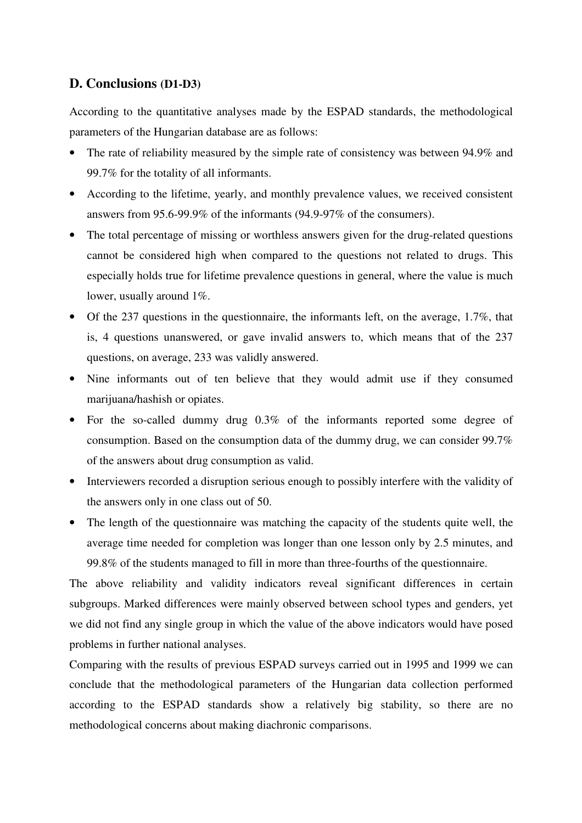# **D. Conclusions (D1-D3)**

According to the quantitative analyses made by the ESPAD standards, the methodological parameters of the Hungarian database are as follows:

- The rate of reliability measured by the simple rate of consistency was between 94.9% and 99.7% for the totality of all informants.
- According to the lifetime, yearly, and monthly prevalence values, we received consistent answers from 95.6-99.9% of the informants (94.9-97% of the consumers).
- The total percentage of missing or worthless answers given for the drug-related questions cannot be considered high when compared to the questions not related to drugs. This especially holds true for lifetime prevalence questions in general, where the value is much lower, usually around 1\%.
- Of the 237 questions in the questionnaire, the informants left, on the average, 1.7%, that is, 4 questions unanswered, or gave invalid answers to, which means that of the 237 questions, on average, 233 was validly answered.
- Nine informants out of ten believe that they would admit use if they consumed marijuana/hashish or opiates.
- For the so-called dummy drug 0.3% of the informants reported some degree of consumption. Based on the consumption data of the dummy drug, we can consider 99.7% of the answers about drug consumption as valid.
- Interviewers recorded a disruption serious enough to possibly interfere with the validity of the answers only in one class out of 50.
- The length of the questionnaire was matching the capacity of the students quite well, the average time needed for completion was longer than one lesson only by 2.5 minutes, and 99.8% of the students managed to fill in more than three-fourths of the questionnaire.

The above reliability and validity indicators reveal significant differences in certain subgroups. Marked differences were mainly observed between school types and genders, yet we did not find any single group in which the value of the above indicators would have posed problems in further national analyses.

Comparing with the results of previous ESPAD surveys carried out in 1995 and 1999 we can conclude that the methodological parameters of the Hungarian data collection performed according to the ESPAD standards show a relatively big stability, so there are no methodological concerns about making diachronic comparisons.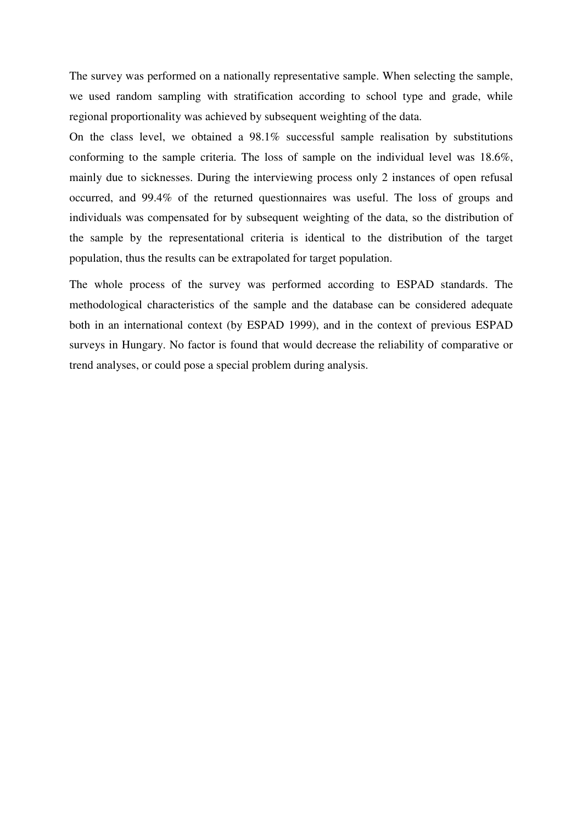The survey was performed on a nationally representative sample. When selecting the sample, we used random sampling with stratification according to school type and grade, while regional proportionality was achieved by subsequent weighting of the data.

On the class level, we obtained a 98.1% successful sample realisation by substitutions conforming to the sample criteria. The loss of sample on the individual level was 18.6%, mainly due to sicknesses. During the interviewing process only 2 instances of open refusal occurred, and 99.4% of the returned questionnaires was useful. The loss of groups and individuals was compensated for by subsequent weighting of the data, so the distribution of the sample by the representational criteria is identical to the distribution of the target population, thus the results can be extrapolated for target population.

The whole process of the survey was performed according to ESPAD standards. The methodological characteristics of the sample and the database can be considered adequate both in an international context (by ESPAD 1999), and in the context of previous ESPAD surveys in Hungary. No factor is found that would decrease the reliability of comparative or trend analyses, or could pose a special problem during analysis.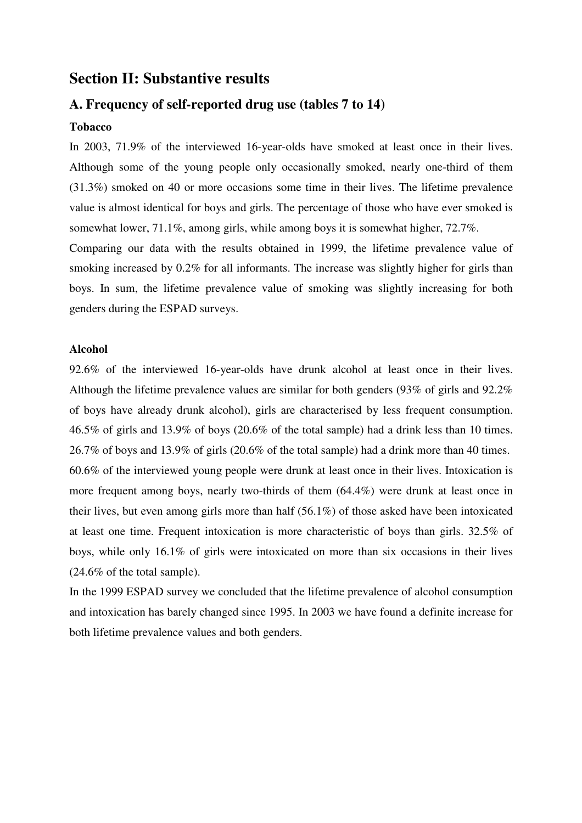# **Section II: Substantive results**

# **A. Frequency of self-reported drug use (tables 7 to 14)**

#### **Tobacco**

In 2003, 71.9% of the interviewed 16-year-olds have smoked at least once in their lives. Although some of the young people only occasionally smoked, nearly one-third of them (31.3%) smoked on 40 or more occasions some time in their lives. The lifetime prevalence value is almost identical for boys and girls. The percentage of those who have ever smoked is somewhat lower, 71.1%, among girls, while among boys it is somewhat higher, 72.7%.

Comparing our data with the results obtained in 1999, the lifetime prevalence value of smoking increased by 0.2% for all informants. The increase was slightly higher for girls than boys. In sum, the lifetime prevalence value of smoking was slightly increasing for both genders during the ESPAD surveys.

### **Alcohol**

92.6% of the interviewed 16-year-olds have drunk alcohol at least once in their lives. Although the lifetime prevalence values are similar for both genders (93% of girls and 92.2% of boys have already drunk alcohol), girls are characterised by less frequent consumption. 46.5% of girls and 13.9% of boys (20.6% of the total sample) had a drink less than 10 times. 26.7% of boys and 13.9% of girls (20.6% of the total sample) had a drink more than 40 times. 60.6% of the interviewed young people were drunk at least once in their lives. Intoxication is more frequent among boys, nearly two-thirds of them (64.4%) were drunk at least once in their lives, but even among girls more than half (56.1%) of those asked have been intoxicated at least one time. Frequent intoxication is more characteristic of boys than girls. 32.5% of boys, while only 16.1% of girls were intoxicated on more than six occasions in their lives (24.6% of the total sample).

In the 1999 ESPAD survey we concluded that the lifetime prevalence of alcohol consumption and intoxication has barely changed since 1995. In 2003 we have found a definite increase for both lifetime prevalence values and both genders.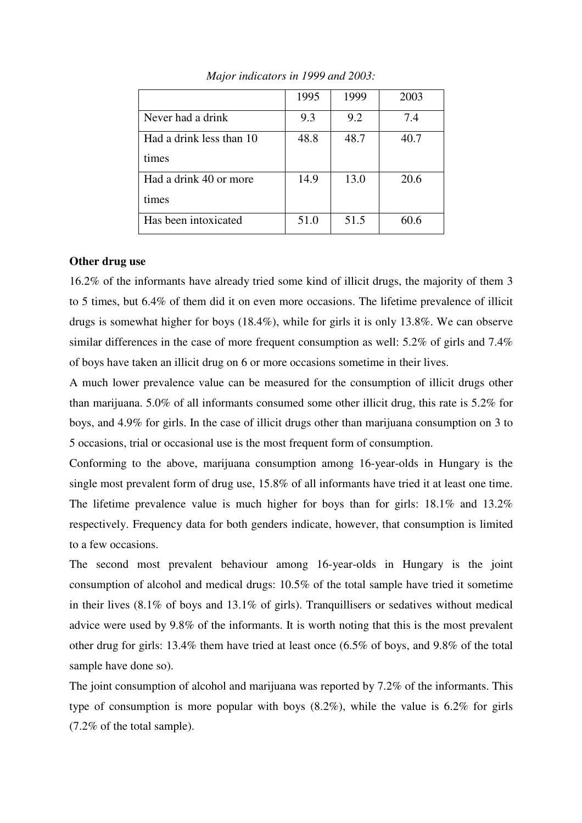|                          | 1995 | 1999 | 2003 |
|--------------------------|------|------|------|
| Never had a drink        | 9.3  | 9.2  | 7.4  |
| Had a drink less than 10 | 48.8 | 48.7 | 40.7 |
| times                    |      |      |      |
| Had a drink 40 or more   | 14.9 | 13.0 | 20.6 |
| times                    |      |      |      |
| Has been intoxicated     | 51.0 | 51.5 | 60.6 |

*Major indicators in 1999 and 2003:* 

#### **Other drug use**

16.2% of the informants have already tried some kind of illicit drugs, the majority of them 3 to 5 times, but 6.4% of them did it on even more occasions. The lifetime prevalence of illicit drugs is somewhat higher for boys (18.4%), while for girls it is only 13.8%. We can observe similar differences in the case of more frequent consumption as well: 5.2% of girls and 7.4% of boys have taken an illicit drug on 6 or more occasions sometime in their lives.

A much lower prevalence value can be measured for the consumption of illicit drugs other than marijuana. 5.0% of all informants consumed some other illicit drug, this rate is 5.2% for boys, and 4.9% for girls. In the case of illicit drugs other than marijuana consumption on 3 to 5 occasions, trial or occasional use is the most frequent form of consumption.

Conforming to the above, marijuana consumption among 16-year-olds in Hungary is the single most prevalent form of drug use, 15.8% of all informants have tried it at least one time. The lifetime prevalence value is much higher for boys than for girls: 18.1% and 13.2% respectively. Frequency data for both genders indicate, however, that consumption is limited to a few occasions.

The second most prevalent behaviour among 16-year-olds in Hungary is the joint consumption of alcohol and medical drugs: 10.5% of the total sample have tried it sometime in their lives (8.1% of boys and 13.1% of girls). Tranquillisers or sedatives without medical advice were used by 9.8% of the informants. It is worth noting that this is the most prevalent other drug for girls: 13.4% them have tried at least once (6.5% of boys, and 9.8% of the total sample have done so).

The joint consumption of alcohol and marijuana was reported by 7.2% of the informants. This type of consumption is more popular with boys (8.2%), while the value is 6.2% for girls (7.2% of the total sample).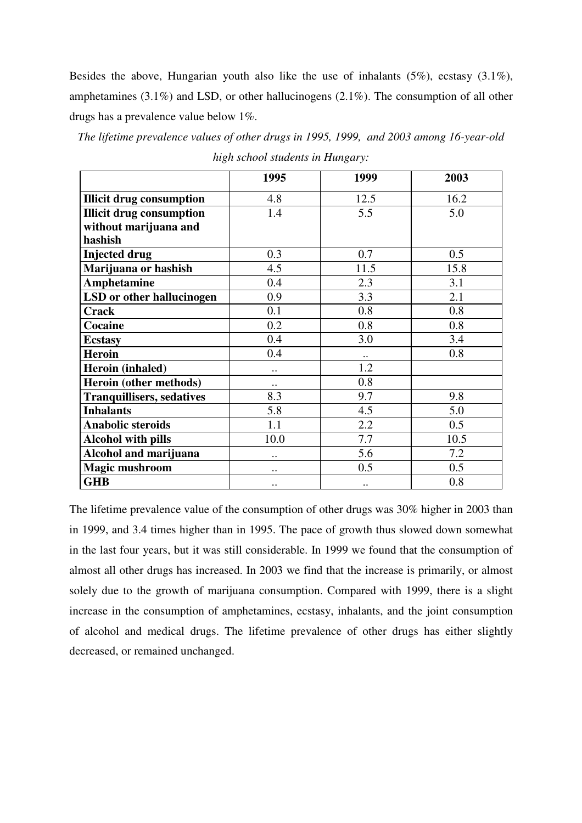Besides the above, Hungarian youth also like the use of inhalants (5%), ecstasy (3.1%), amphetamines (3.1%) and LSD, or other hallucinogens (2.1%). The consumption of all other drugs has a prevalence value below 1%.

*The lifetime prevalence values of other drugs in 1995, 1999, and 2003 among 16-year-old* 

|                                  | 1995                 | 1999      | 2003 |
|----------------------------------|----------------------|-----------|------|
| <b>Illicit drug consumption</b>  | 4.8                  | 12.5      | 16.2 |
| <b>Illicit drug consumption</b>  | 1.4                  | 5.5       | 5.0  |
| without marijuana and            |                      |           |      |
| hashish                          |                      |           |      |
| <b>Injected drug</b>             | 0.3                  | 0.7       | 0.5  |
| Marijuana or hashish             | 4.5                  | 11.5      | 15.8 |
| Amphetamine                      | 0.4                  | 2.3       | 3.1  |
| LSD or other hallucinogen        | 0.9                  | 3.3       | 2.1  |
| <b>Crack</b>                     | 0.1                  | 0.8       | 0.8  |
| <b>Cocaine</b>                   | 0.2                  | 0.8       | 0.8  |
| <b>Ecstasy</b>                   | 0.4                  | 3.0       | 3.4  |
| <b>Heroin</b>                    | 0.4                  | $\cdot$ . | 0.8  |
| Heroin (inhaled)                 | $\cdot \cdot$        | 1.2       |      |
| Heroin (other methods)           | $\cdot$ .            | 0.8       |      |
| <b>Tranquillisers, sedatives</b> | 8.3                  | 9.7       | 9.8  |
| <b>Inhalants</b>                 | 5.8                  | 4.5       | 5.0  |
| <b>Anabolic steroids</b>         | 1.1                  | 2.2       | 0.5  |
| <b>Alcohol with pills</b>        | 10.0                 | 7.7       | 10.5 |
| Alcohol and marijuana            |                      | 5.6       | 7.2  |
| <b>Magic mushroom</b>            | $\cdot$ .            | 0.5       | 0.5  |
| <b>GHB</b>                       | $\ddot{\phantom{0}}$ | $\ddotsc$ | 0.8  |

*high school students in Hungary:* 

The lifetime prevalence value of the consumption of other drugs was 30% higher in 2003 than in 1999, and 3.4 times higher than in 1995. The pace of growth thus slowed down somewhat in the last four years, but it was still considerable. In 1999 we found that the consumption of almost all other drugs has increased. In 2003 we find that the increase is primarily, or almost solely due to the growth of marijuana consumption. Compared with 1999, there is a slight increase in the consumption of amphetamines, ecstasy, inhalants, and the joint consumption of alcohol and medical drugs. The lifetime prevalence of other drugs has either slightly decreased, or remained unchanged.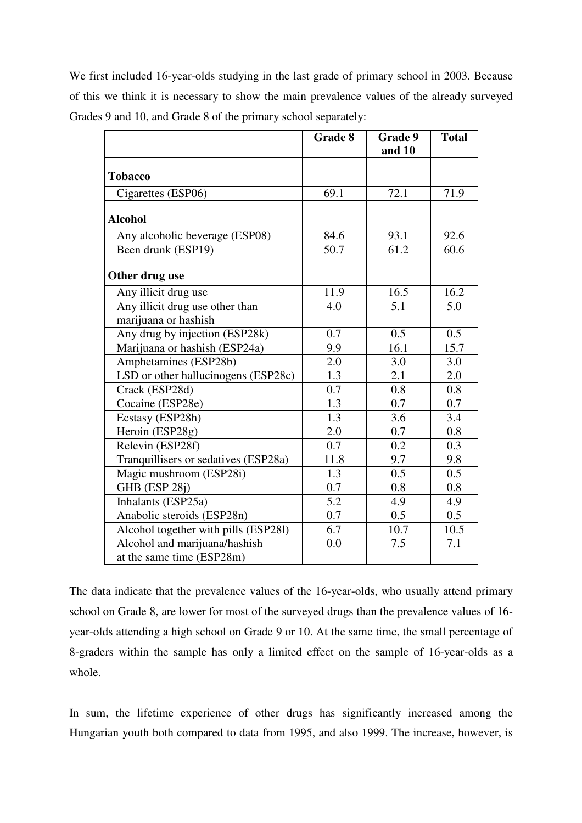We first included 16-year-olds studying in the last grade of primary school in 2003. Because of this we think it is necessary to show the main prevalence values of the already surveyed Grades 9 and 10, and Grade 8 of the primary school separately:

|                                      | <b>Grade 8</b> | Grade 9 | <b>Total</b> |
|--------------------------------------|----------------|---------|--------------|
|                                      |                | and 10  |              |
| <b>Tobacco</b>                       |                |         |              |
| Cigarettes (ESP06)                   | 69.1           | 72.1    | 71.9         |
| <b>Alcohol</b>                       |                |         |              |
| Any alcoholic beverage (ESP08)       | 84.6           | 93.1    | 92.6         |
| Been drunk (ESP19)                   | 50.7           | 61.2    | 60.6         |
| Other drug use                       |                |         |              |
| Any illicit drug use                 | 11.9           | 16.5    | 16.2         |
| Any illicit drug use other than      | 4.0            | 5.1     | 5.0          |
| marijuana or hashish                 |                |         |              |
| Any drug by injection (ESP28k)       | 0.7            | 0.5     | 0.5          |
| Marijuana or hashish (ESP24a)        | 9.9            | 16.1    | 15.7         |
| Amphetamines (ESP28b)                | 2.0            | 3.0     | 3.0          |
| LSD or other hallucinogens (ESP28c)  | 1.3            | 2.1     | 2.0          |
| Crack (ESP28d)                       | 0.7            | 0.8     | 0.8          |
| Cocaine (ESP28e)                     | 1.3            | 0.7     | 0.7          |
| Ecstasy (ESP28h)                     | 1.3            | 3.6     | $3.4\,$      |
| Heroin (ESP28g)                      | 2.0            | 0.7     | 0.8          |
| Relevin (ESP28f)                     | 0.7            | 0.2     | 0.3          |
| Tranquillisers or sedatives (ESP28a) | 11.8           | 9.7     | 9.8          |
| Magic mushroom (ESP28i)              | 1.3            | 0.5     | 0.5          |
| GHB (ESP 28j)                        | 0.7            | 0.8     | 0.8          |
| Inhalants (ESP25a)                   | 5.2            | 4.9     | 4.9          |
| Anabolic steroids (ESP28n)           | 0.7            | 0.5     | 0.5          |
| Alcohol together with pills (ESP281) | 6.7            | 10.7    | 10.5         |
| Alcohol and marijuana/hashish        | 0.0            | 7.5     | 7.1          |
| at the same time (ESP28m)            |                |         |              |

The data indicate that the prevalence values of the 16-year-olds, who usually attend primary school on Grade 8, are lower for most of the surveyed drugs than the prevalence values of 16 year-olds attending a high school on Grade 9 or 10. At the same time, the small percentage of 8-graders within the sample has only a limited effect on the sample of 16-year-olds as a whole.

In sum, the lifetime experience of other drugs has significantly increased among the Hungarian youth both compared to data from 1995, and also 1999. The increase, however, is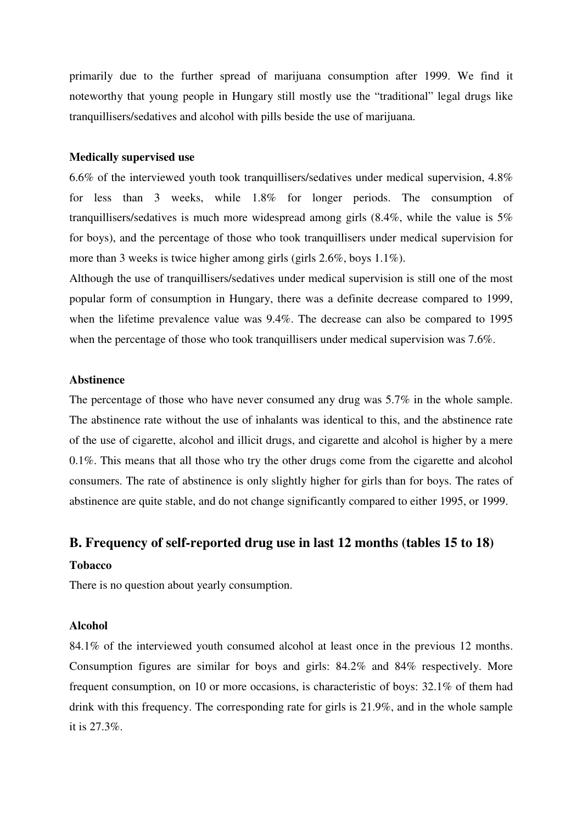primarily due to the further spread of marijuana consumption after 1999. We find it noteworthy that young people in Hungary still mostly use the "traditional" legal drugs like tranquillisers/sedatives and alcohol with pills beside the use of marijuana.

#### **Medically supervised use**

6.6% of the interviewed youth took tranquillisers/sedatives under medical supervision, 4.8% for less than 3 weeks, while 1.8% for longer periods. The consumption of tranquillisers/sedatives is much more widespread among girls (8.4%, while the value is 5% for boys), and the percentage of those who took tranquillisers under medical supervision for more than 3 weeks is twice higher among girls (girls 2.6%, boys 1.1%).

Although the use of tranquillisers/sedatives under medical supervision is still one of the most popular form of consumption in Hungary, there was a definite decrease compared to 1999, when the lifetime prevalence value was 9.4%. The decrease can also be compared to 1995 when the percentage of those who took tranquillisers under medical supervision was 7.6%.

### **Abstinence**

The percentage of those who have never consumed any drug was 5.7% in the whole sample. The abstinence rate without the use of inhalants was identical to this, and the abstinence rate of the use of cigarette, alcohol and illicit drugs, and cigarette and alcohol is higher by a mere 0.1%. This means that all those who try the other drugs come from the cigarette and alcohol consumers. The rate of abstinence is only slightly higher for girls than for boys. The rates of abstinence are quite stable, and do not change significantly compared to either 1995, or 1999.

# **B. Frequency of self-reported drug use in last 12 months (tables 15 to 18)**

#### **Tobacco**

There is no question about yearly consumption.

#### **Alcohol**

84.1% of the interviewed youth consumed alcohol at least once in the previous 12 months. Consumption figures are similar for boys and girls: 84.2% and 84% respectively. More frequent consumption, on 10 or more occasions, is characteristic of boys: 32.1% of them had drink with this frequency. The corresponding rate for girls is 21.9%, and in the whole sample it is 27.3%.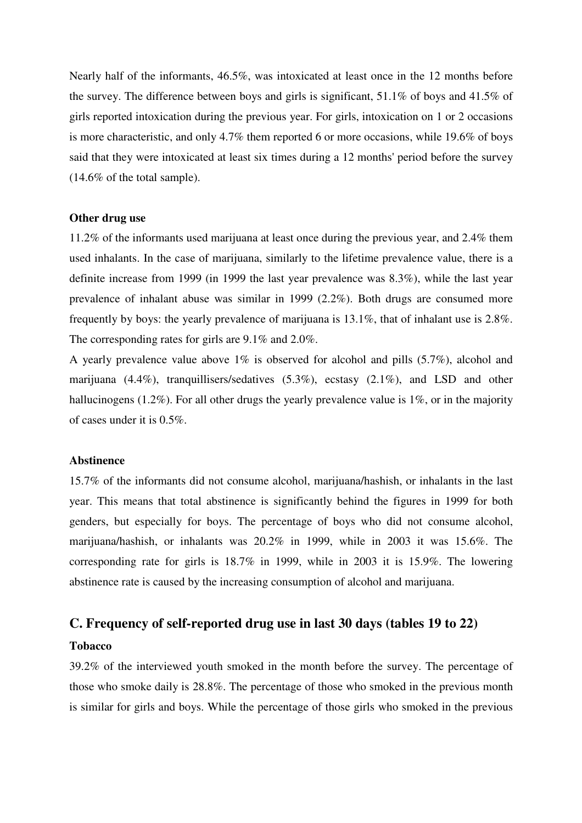Nearly half of the informants, 46.5%, was intoxicated at least once in the 12 months before the survey. The difference between boys and girls is significant, 51.1% of boys and 41.5% of girls reported intoxication during the previous year. For girls, intoxication on 1 or 2 occasions is more characteristic, and only 4.7% them reported 6 or more occasions, while 19.6% of boys said that they were intoxicated at least six times during a 12 months' period before the survey (14.6% of the total sample).

#### **Other drug use**

11.2% of the informants used marijuana at least once during the previous year, and 2.4% them used inhalants. In the case of marijuana, similarly to the lifetime prevalence value, there is a definite increase from 1999 (in 1999 the last year prevalence was 8.3%), while the last year prevalence of inhalant abuse was similar in 1999 (2.2%). Both drugs are consumed more frequently by boys: the yearly prevalence of marijuana is 13.1%, that of inhalant use is 2.8%. The corresponding rates for girls are 9.1% and 2.0%.

A yearly prevalence value above 1% is observed for alcohol and pills (5.7%), alcohol and marijuana (4.4%), tranquillisers/sedatives (5.3%), ecstasy (2.1%), and LSD and other hallucinogens (1.2%). For all other drugs the yearly prevalence value is 1%, or in the majority of cases under it is 0.5%.

#### **Abstinence**

15.7% of the informants did not consume alcohol, marijuana/hashish, or inhalants in the last year. This means that total abstinence is significantly behind the figures in 1999 for both genders, but especially for boys. The percentage of boys who did not consume alcohol, marijuana/hashish, or inhalants was 20.2% in 1999, while in 2003 it was 15.6%. The corresponding rate for girls is 18.7% in 1999, while in 2003 it is 15.9%. The lowering abstinence rate is caused by the increasing consumption of alcohol and marijuana.

# **C. Frequency of self-reported drug use in last 30 days (tables 19 to 22)**

#### **Tobacco**

39.2% of the interviewed youth smoked in the month before the survey. The percentage of those who smoke daily is 28.8%. The percentage of those who smoked in the previous month is similar for girls and boys. While the percentage of those girls who smoked in the previous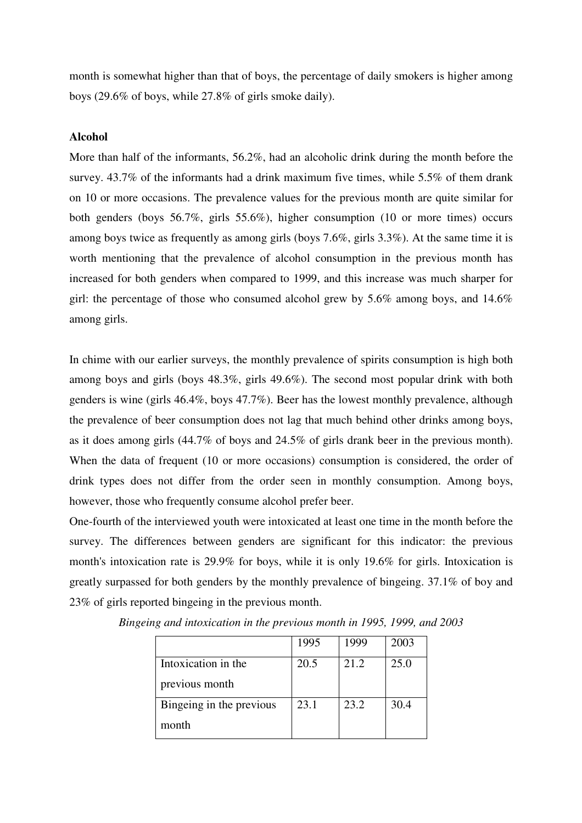month is somewhat higher than that of boys, the percentage of daily smokers is higher among boys (29.6% of boys, while 27.8% of girls smoke daily).

#### **Alcohol**

More than half of the informants, 56.2%, had an alcoholic drink during the month before the survey. 43.7% of the informants had a drink maximum five times, while 5.5% of them drank on 10 or more occasions. The prevalence values for the previous month are quite similar for both genders (boys 56.7%, girls 55.6%), higher consumption (10 or more times) occurs among boys twice as frequently as among girls (boys 7.6%, girls 3.3%). At the same time it is worth mentioning that the prevalence of alcohol consumption in the previous month has increased for both genders when compared to 1999, and this increase was much sharper for girl: the percentage of those who consumed alcohol grew by 5.6% among boys, and 14.6% among girls.

In chime with our earlier surveys, the monthly prevalence of spirits consumption is high both among boys and girls (boys 48.3%, girls 49.6%). The second most popular drink with both genders is wine (girls 46.4%, boys 47.7%). Beer has the lowest monthly prevalence, although the prevalence of beer consumption does not lag that much behind other drinks among boys, as it does among girls (44.7% of boys and 24.5% of girls drank beer in the previous month). When the data of frequent (10 or more occasions) consumption is considered, the order of drink types does not differ from the order seen in monthly consumption. Among boys, however, those who frequently consume alcohol prefer beer.

One-fourth of the interviewed youth were intoxicated at least one time in the month before the survey. The differences between genders are significant for this indicator: the previous month's intoxication rate is 29.9% for boys, while it is only 19.6% for girls. Intoxication is greatly surpassed for both genders by the monthly prevalence of bingeing. 37.1% of boy and 23% of girls reported bingeing in the previous month.

|                          | 1995 | 1999 | 2003 |
|--------------------------|------|------|------|
| Intoxication in the      | 20.5 | 21.2 | 25.0 |
| previous month           |      |      |      |
| Bingeing in the previous | 23.1 | 23.2 | 30.4 |
| month                    |      |      |      |

*Bingeing and intoxication in the previous month in 1995, 1999, and 2003*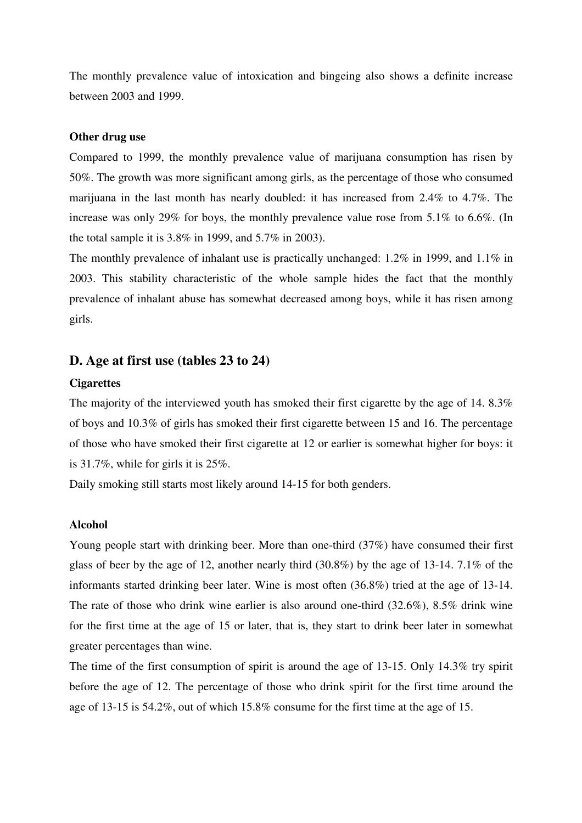The monthly prevalence value of intoxication and bingeing also shows a definite increase between 2003 and 1999.

#### **Other drug use**

Compared to 1999, the monthly prevalence value of marijuana consumption has risen by 50%. The growth was more significant among girls, as the percentage of those who consumed marijuana in the last month has nearly doubled: it has increased from 2.4% to 4.7%. The increase was only 29% for boys, the monthly prevalence value rose from 5.1% to 6.6%. (In the total sample it is 3.8% in 1999, and 5.7% in 2003).

The monthly prevalence of inhalant use is practically unchanged: 1.2% in 1999, and 1.1% in 2003. This stability characteristic of the whole sample hides the fact that the monthly prevalence of inhalant abuse has somewhat decreased among boys, while it has risen among girls.

# **D. Age at first use (tables 23 to 24)**

### **Cigarettes**

The majority of the interviewed youth has smoked their first cigarette by the age of 14, 8.3% of boys and 10.3% of girls has smoked their first cigarette between 15 and 16. The percentage of those who have smoked their first cigarette at 12 or earlier is somewhat higher for boys: it is 31.7%, while for girls it is 25%.

Daily smoking still starts most likely around 14-15 for both genders.

#### **Alcohol**

Young people start with drinking beer. More than one-third (37%) have consumed their first glass of beer by the age of 12, another nearly third (30.8%) by the age of 13-14. 7.1% of the informants started drinking beer later. Wine is most often (36.8%) tried at the age of 13-14. The rate of those who drink wine earlier is also around one-third (32.6%), 8.5% drink wine for the first time at the age of 15 or later, that is, they start to drink beer later in somewhat greater percentages than wine.

The time of the first consumption of spirit is around the age of 13-15. Only 14.3% try spirit before the age of 12. The percentage of those who drink spirit for the first time around the age of 13-15 is 54.2%, out of which 15.8% consume for the first time at the age of 15.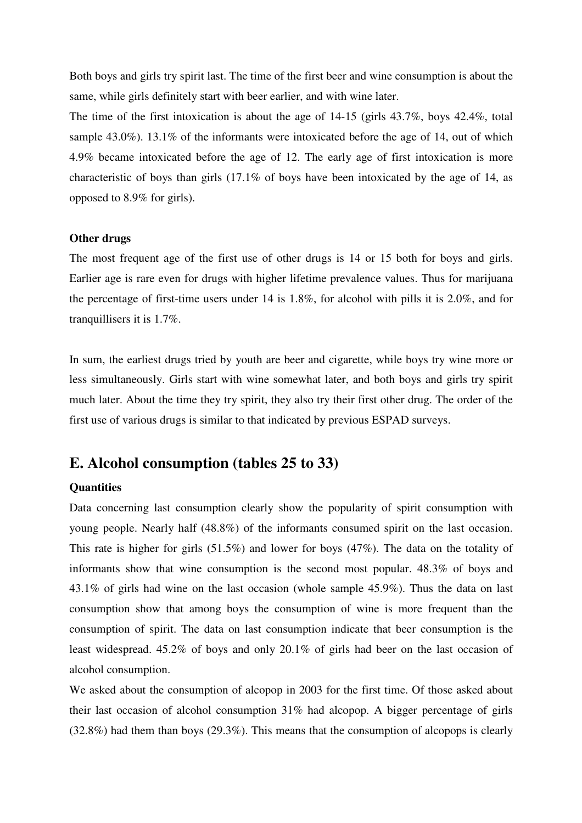Both boys and girls try spirit last. The time of the first beer and wine consumption is about the same, while girls definitely start with beer earlier, and with wine later.

The time of the first intoxication is about the age of 14-15 (girls 43.7%, boys 42.4%, total sample 43.0%). 13.1% of the informants were intoxicated before the age of 14, out of which 4.9% became intoxicated before the age of 12. The early age of first intoxication is more characteristic of boys than girls (17.1% of boys have been intoxicated by the age of 14, as opposed to 8.9% for girls).

#### **Other drugs**

The most frequent age of the first use of other drugs is 14 or 15 both for boys and girls. Earlier age is rare even for drugs with higher lifetime prevalence values. Thus for marijuana the percentage of first-time users under 14 is 1.8%, for alcohol with pills it is 2.0%, and for tranquillisers it is 1.7%.

In sum, the earliest drugs tried by youth are beer and cigarette, while boys try wine more or less simultaneously. Girls start with wine somewhat later, and both boys and girls try spirit much later. About the time they try spirit, they also try their first other drug. The order of the first use of various drugs is similar to that indicated by previous ESPAD surveys.

# **E. Alcohol consumption (tables 25 to 33)**

#### **Quantities**

Data concerning last consumption clearly show the popularity of spirit consumption with young people. Nearly half (48.8%) of the informants consumed spirit on the last occasion. This rate is higher for girls (51.5%) and lower for boys (47%). The data on the totality of informants show that wine consumption is the second most popular. 48.3% of boys and 43.1% of girls had wine on the last occasion (whole sample 45.9%). Thus the data on last consumption show that among boys the consumption of wine is more frequent than the consumption of spirit. The data on last consumption indicate that beer consumption is the least widespread. 45.2% of boys and only 20.1% of girls had beer on the last occasion of alcohol consumption.

We asked about the consumption of alcopop in 2003 for the first time. Of those asked about their last occasion of alcohol consumption 31% had alcopop. A bigger percentage of girls (32.8%) had them than boys (29.3%). This means that the consumption of alcopops is clearly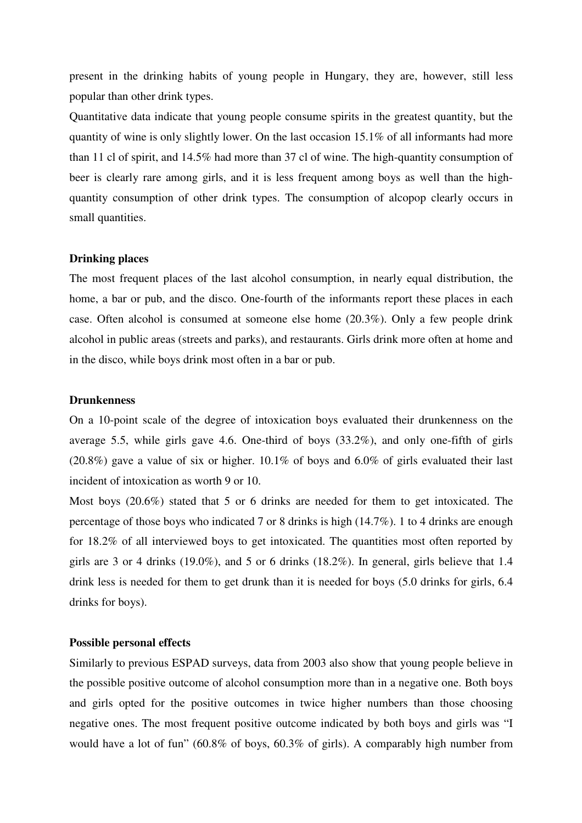present in the drinking habits of young people in Hungary, they are, however, still less popular than other drink types.

Quantitative data indicate that young people consume spirits in the greatest quantity, but the quantity of wine is only slightly lower. On the last occasion 15.1% of all informants had more than 11 cl of spirit, and 14.5% had more than 37 cl of wine. The high-quantity consumption of beer is clearly rare among girls, and it is less frequent among boys as well than the highquantity consumption of other drink types. The consumption of alcopop clearly occurs in small quantities.

#### **Drinking places**

The most frequent places of the last alcohol consumption, in nearly equal distribution, the home, a bar or pub, and the disco. One-fourth of the informants report these places in each case. Often alcohol is consumed at someone else home (20.3%). Only a few people drink alcohol in public areas (streets and parks), and restaurants. Girls drink more often at home and in the disco, while boys drink most often in a bar or pub.

#### **Drunkenness**

On a 10-point scale of the degree of intoxication boys evaluated their drunkenness on the average 5.5, while girls gave 4.6. One-third of boys (33.2%), and only one-fifth of girls (20.8%) gave a value of six or higher. 10.1% of boys and 6.0% of girls evaluated their last incident of intoxication as worth 9 or 10.

Most boys (20.6%) stated that 5 or 6 drinks are needed for them to get intoxicated. The percentage of those boys who indicated 7 or 8 drinks is high (14.7%). 1 to 4 drinks are enough for 18.2% of all interviewed boys to get intoxicated. The quantities most often reported by girls are 3 or 4 drinks (19.0%), and 5 or 6 drinks (18.2%). In general, girls believe that 1.4 drink less is needed for them to get drunk than it is needed for boys (5.0 drinks for girls, 6.4 drinks for boys).

### **Possible personal effects**

Similarly to previous ESPAD surveys, data from 2003 also show that young people believe in the possible positive outcome of alcohol consumption more than in a negative one. Both boys and girls opted for the positive outcomes in twice higher numbers than those choosing negative ones. The most frequent positive outcome indicated by both boys and girls was "I would have a lot of fun" (60.8% of boys, 60.3% of girls). A comparably high number from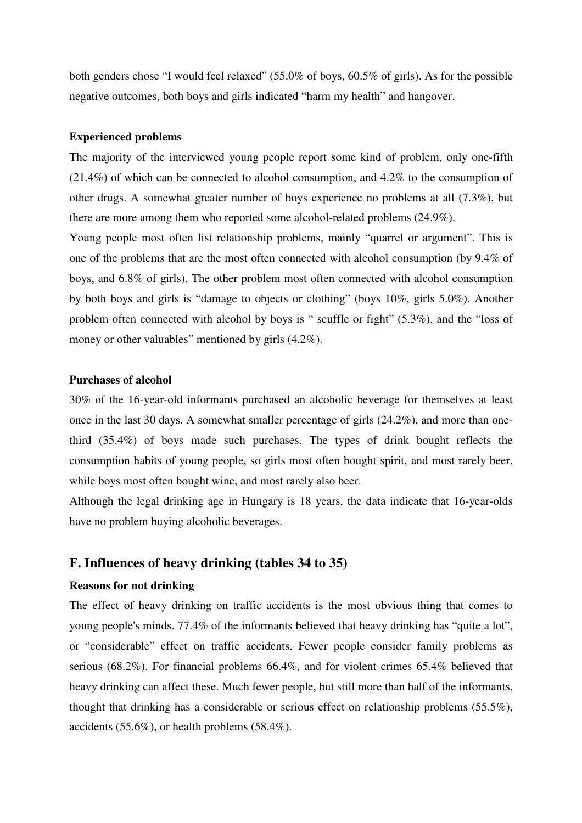both genders chose "I would feel relaxed" (55.0% of boys, 60.5% of girls). As for the possible negative outcomes, both boys and girls indicated "harm my health" and hangover.

#### **Experienced problems**

The majority of the interviewed young people report some kind of problem, only one-fifth (21.4%) of which can be connected to alcohol consumption, and 4.2% to the consumption of other drugs. A somewhat greater number of boys experience no problems at all (7.3%), but there are more among them who reported some alcohol-related problems (24.9%).

Young people most often list relationship problems, mainly "quarrel or argument". This is one of the problems that are the most often connected with alcohol consumption (by 9.4% of boys, and 6.8% of girls). The other problem most often connected with alcohol consumption by both boys and girls is "damage to objects or clothing" (boys 10%, girls 5.0%). Another problem often connected with alcohol by boys is " scuffle or fight" (5.3%), and the "loss of money or other valuables" mentioned by girls  $(4.2\%)$ .

#### **Purchases of alcohol**

30% of the 16-year-old informants purchased an alcoholic beverage for themselves at least once in the last 30 days. A somewhat smaller percentage of girls (24.2%), and more than onethird (35.4%) of boys made such purchases. The types of drink bought reflects the consumption habits of young people, so girls most often bought spirit, and most rarely beer, while boys most often bought wine, and most rarely also beer.

Although the legal drinking age in Hungary is 18 years, the data indicate that 16-year-olds have no problem buying alcoholic beverages.

# **F. Influences of heavy drinking (tables 34 to 35)**

### **Reasons for not drinking**

The effect of heavy drinking on traffic accidents is the most obvious thing that comes to young people's minds. 77.4% of the informants believed that heavy drinking has "quite a lot", or "considerable" effect on traffic accidents. Fewer people consider family problems as serious (68.2%). For financial problems 66.4%, and for violent crimes 65.4% believed that heavy drinking can affect these. Much fewer people, but still more than half of the informants, thought that drinking has a considerable or serious effect on relationship problems (55.5%), accidents (55.6%), or health problems (58.4%).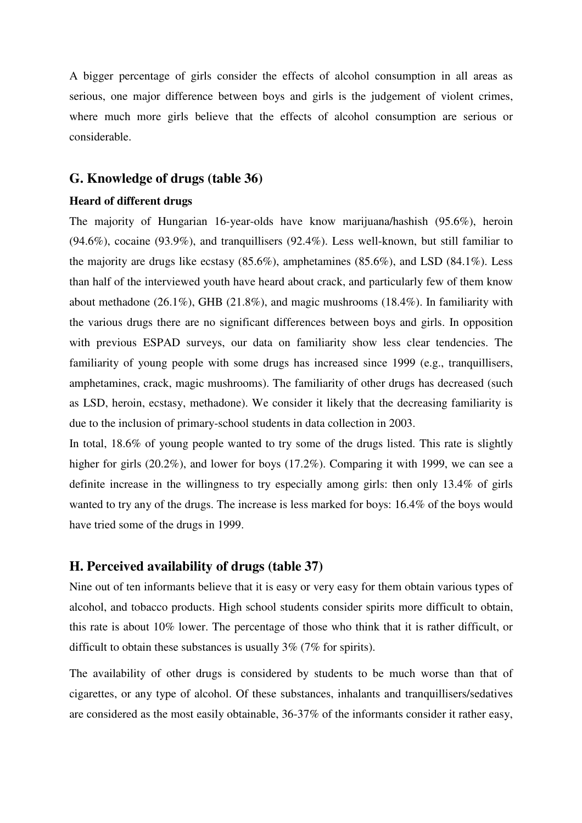A bigger percentage of girls consider the effects of alcohol consumption in all areas as serious, one major difference between boys and girls is the judgement of violent crimes, where much more girls believe that the effects of alcohol consumption are serious or considerable.

# **G. Knowledge of drugs (table 36)**

## **Heard of different drugs**

The majority of Hungarian 16-year-olds have know marijuana/hashish (95.6%), heroin (94.6%), cocaine (93.9%), and tranquillisers (92.4%). Less well-known, but still familiar to the majority are drugs like ecstasy (85.6%), amphetamines (85.6%), and LSD (84.1%). Less than half of the interviewed youth have heard about crack, and particularly few of them know about methadone (26.1%), GHB (21.8%), and magic mushrooms (18.4%). In familiarity with the various drugs there are no significant differences between boys and girls. In opposition with previous ESPAD surveys, our data on familiarity show less clear tendencies. The familiarity of young people with some drugs has increased since 1999 (e.g., tranquillisers, amphetamines, crack, magic mushrooms). The familiarity of other drugs has decreased (such as LSD, heroin, ecstasy, methadone). We consider it likely that the decreasing familiarity is due to the inclusion of primary-school students in data collection in 2003.

In total, 18.6% of young people wanted to try some of the drugs listed. This rate is slightly higher for girls (20.2%), and lower for boys (17.2%). Comparing it with 1999, we can see a definite increase in the willingness to try especially among girls: then only 13.4% of girls wanted to try any of the drugs. The increase is less marked for boys: 16.4% of the boys would have tried some of the drugs in 1999.

# **H. Perceived availability of drugs (table 37)**

Nine out of ten informants believe that it is easy or very easy for them obtain various types of alcohol, and tobacco products. High school students consider spirits more difficult to obtain, this rate is about 10% lower. The percentage of those who think that it is rather difficult, or difficult to obtain these substances is usually 3% (7% for spirits).

The availability of other drugs is considered by students to be much worse than that of cigarettes, or any type of alcohol. Of these substances, inhalants and tranquillisers/sedatives are considered as the most easily obtainable, 36-37% of the informants consider it rather easy,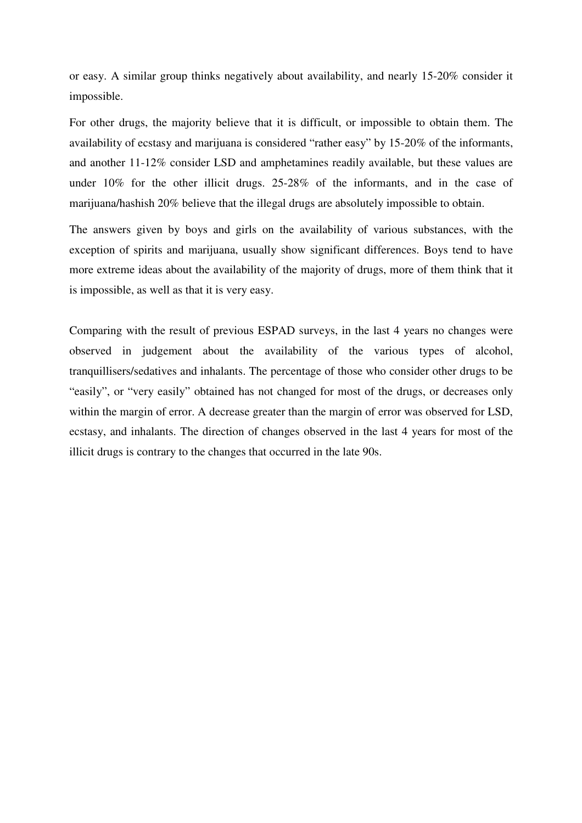or easy. A similar group thinks negatively about availability, and nearly 15-20% consider it impossible.

For other drugs, the majority believe that it is difficult, or impossible to obtain them. The availability of ecstasy and marijuana is considered "rather easy" by 15-20% of the informants, and another 11-12% consider LSD and amphetamines readily available, but these values are under 10% for the other illicit drugs. 25-28% of the informants, and in the case of marijuana/hashish 20% believe that the illegal drugs are absolutely impossible to obtain.

The answers given by boys and girls on the availability of various substances, with the exception of spirits and marijuana, usually show significant differences. Boys tend to have more extreme ideas about the availability of the majority of drugs, more of them think that it is impossible, as well as that it is very easy.

Comparing with the result of previous ESPAD surveys, in the last 4 years no changes were observed in judgement about the availability of the various types of alcohol, tranquillisers/sedatives and inhalants. The percentage of those who consider other drugs to be "easily", or "very easily" obtained has not changed for most of the drugs, or decreases only within the margin of error. A decrease greater than the margin of error was observed for LSD, ecstasy, and inhalants. The direction of changes observed in the last 4 years for most of the illicit drugs is contrary to the changes that occurred in the late 90s.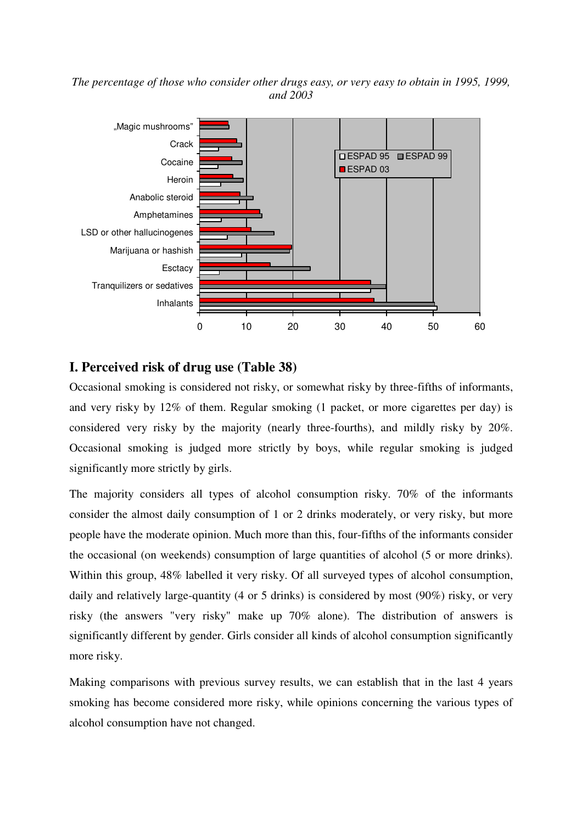### *The percentage of those who consider other drugs easy, or very easy to obtain in 1995, 1999, and 2003*



# **I. Perceived risk of drug use (Table 38)**

Occasional smoking is considered not risky, or somewhat risky by three-fifths of informants, and very risky by 12% of them. Regular smoking (1 packet, or more cigarettes per day) is considered very risky by the majority (nearly three-fourths), and mildly risky by 20%. Occasional smoking is judged more strictly by boys, while regular smoking is judged significantly more strictly by girls.

The majority considers all types of alcohol consumption risky. 70% of the informants consider the almost daily consumption of 1 or 2 drinks moderately, or very risky, but more people have the moderate opinion. Much more than this, four-fifths of the informants consider the occasional (on weekends) consumption of large quantities of alcohol (5 or more drinks). Within this group, 48% labelled it very risky. Of all surveyed types of alcohol consumption, daily and relatively large-quantity (4 or 5 drinks) is considered by most (90%) risky, or very risky (the answers "very risky" make up 70% alone). The distribution of answers is significantly different by gender. Girls consider all kinds of alcohol consumption significantly more risky.

Making comparisons with previous survey results, we can establish that in the last 4 years smoking has become considered more risky, while opinions concerning the various types of alcohol consumption have not changed.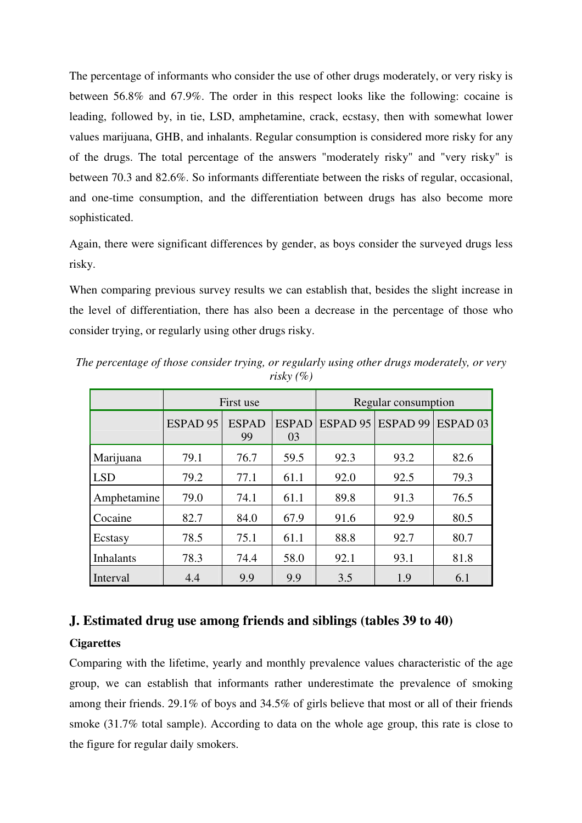The percentage of informants who consider the use of other drugs moderately, or very risky is between 56.8% and 67.9%. The order in this respect looks like the following: cocaine is leading, followed by, in tie, LSD, amphetamine, crack, ecstasy, then with somewhat lower values marijuana, GHB, and inhalants. Regular consumption is considered more risky for any of the drugs. The total percentage of the answers "moderately risky" and "very risky" is between 70.3 and 82.6%. So informants differentiate between the risks of regular, occasional, and one-time consumption, and the differentiation between drugs has also become more sophisticated.

Again, there were significant differences by gender, as boys consider the surveyed drugs less risky.

When comparing previous survey results we can establish that, besides the slight increase in the level of differentiation, there has also been a decrease in the percentage of those who consider trying, or regularly using other drugs risky.

|                  | First use           |                    |                    | Regular consumption |                     |                     |
|------------------|---------------------|--------------------|--------------------|---------------------|---------------------|---------------------|
|                  | ESPAD <sub>95</sub> | <b>ESPAD</b><br>99 | <b>ESPAD</b><br>03 | ESPAD 95            | ESPAD <sub>99</sub> | ESPAD <sub>03</sub> |
| Marijuana        | 79.1                | 76.7               | 59.5               | 92.3                | 93.2                | 82.6                |
| <b>LSD</b>       | 79.2                | 77.1               | 61.1               | 92.0                | 92.5                | 79.3                |
| Amphetamine      | 79.0                | 74.1               | 61.1               | 89.8                | 91.3                | 76.5                |
| Cocaine          | 82.7                | 84.0               | 67.9               | 91.6                | 92.9                | 80.5                |
| Ecstasy          | 78.5                | 75.1               | 61.1               | 88.8                | 92.7                | 80.7                |
| <b>Inhalants</b> | 78.3                | 74.4               | 58.0               | 92.1                | 93.1                | 81.8                |
| Interval         | 4.4                 | 9.9                | 9.9                | 3.5                 | 1.9                 | 6.1                 |

*The percentage of those consider trying, or regularly using other drugs moderately, or very risky (%)* 

# **J. Estimated drug use among friends and siblings (tables 39 to 40)**

# **Cigarettes**

Comparing with the lifetime, yearly and monthly prevalence values characteristic of the age group, we can establish that informants rather underestimate the prevalence of smoking among their friends. 29.1% of boys and 34.5% of girls believe that most or all of their friends smoke (31.7% total sample). According to data on the whole age group, this rate is close to the figure for regular daily smokers.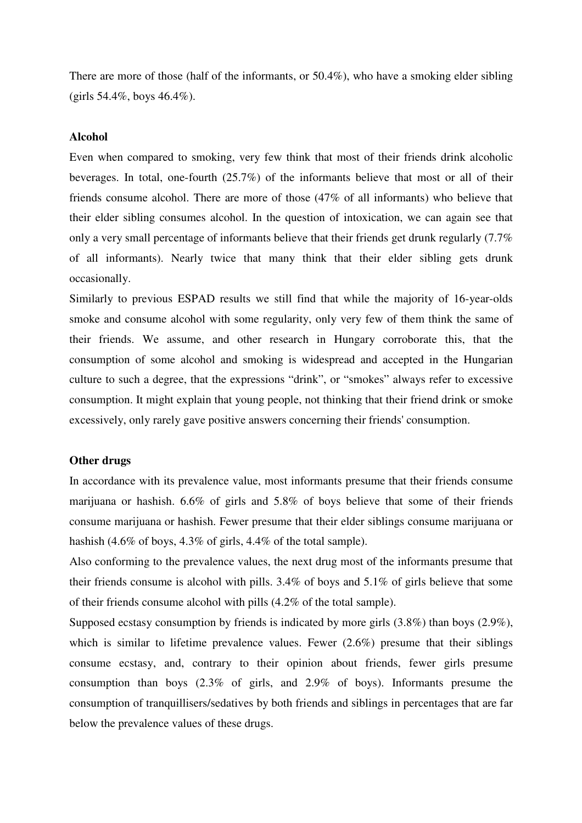There are more of those (half of the informants, or 50.4%), who have a smoking elder sibling  $(girls 54.4\%, boys 46.4\%).$ 

#### **Alcohol**

Even when compared to smoking, very few think that most of their friends drink alcoholic beverages. In total, one-fourth (25.7%) of the informants believe that most or all of their friends consume alcohol. There are more of those (47% of all informants) who believe that their elder sibling consumes alcohol. In the question of intoxication, we can again see that only a very small percentage of informants believe that their friends get drunk regularly (7.7% of all informants). Nearly twice that many think that their elder sibling gets drunk occasionally.

Similarly to previous ESPAD results we still find that while the majority of 16-year-olds smoke and consume alcohol with some regularity, only very few of them think the same of their friends. We assume, and other research in Hungary corroborate this, that the consumption of some alcohol and smoking is widespread and accepted in the Hungarian culture to such a degree, that the expressions "drink", or "smokes" always refer to excessive consumption. It might explain that young people, not thinking that their friend drink or smoke excessively, only rarely gave positive answers concerning their friends' consumption.

#### **Other drugs**

In accordance with its prevalence value, most informants presume that their friends consume marijuana or hashish. 6.6% of girls and 5.8% of boys believe that some of their friends consume marijuana or hashish. Fewer presume that their elder siblings consume marijuana or hashish (4.6% of boys, 4.3% of girls, 4.4% of the total sample).

Also conforming to the prevalence values, the next drug most of the informants presume that their friends consume is alcohol with pills. 3.4% of boys and 5.1% of girls believe that some of their friends consume alcohol with pills (4.2% of the total sample).

Supposed ecstasy consumption by friends is indicated by more girls (3.8%) than boys (2.9%), which is similar to lifetime prevalence values. Fewer  $(2.6\%)$  presume that their siblings consume ecstasy, and, contrary to their opinion about friends, fewer girls presume consumption than boys (2.3% of girls, and 2.9% of boys). Informants presume the consumption of tranquillisers/sedatives by both friends and siblings in percentages that are far below the prevalence values of these drugs.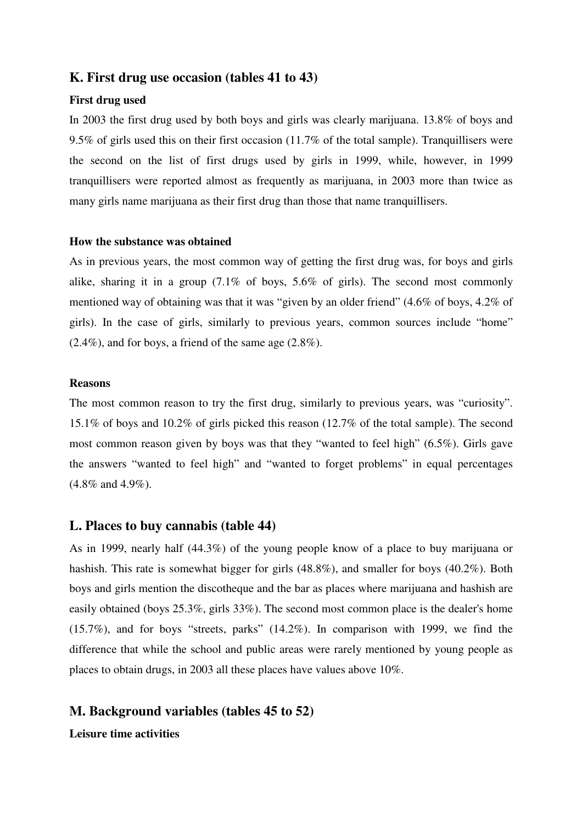# **K. First drug use occasion (tables 41 to 43)**

## **First drug used**

In 2003 the first drug used by both boys and girls was clearly marijuana. 13.8% of boys and 9.5% of girls used this on their first occasion (11.7% of the total sample). Tranquillisers were the second on the list of first drugs used by girls in 1999, while, however, in 1999 tranquillisers were reported almost as frequently as marijuana, in 2003 more than twice as many girls name marijuana as their first drug than those that name tranquillisers.

#### **How the substance was obtained**

As in previous years, the most common way of getting the first drug was, for boys and girls alike, sharing it in a group (7.1% of boys, 5.6% of girls). The second most commonly mentioned way of obtaining was that it was "given by an older friend" (4.6% of boys, 4.2% of girls). In the case of girls, similarly to previous years, common sources include "home"  $(2.4\%)$ , and for boys, a friend of the same age  $(2.8\%)$ .

## **Reasons**

The most common reason to try the first drug, similarly to previous years, was "curiosity". 15.1% of boys and 10.2% of girls picked this reason (12.7% of the total sample). The second most common reason given by boys was that they "wanted to feel high" (6.5%). Girls gave the answers "wanted to feel high" and "wanted to forget problems" in equal percentages (4.8% and 4.9%).

## **L. Places to buy cannabis (table 44)**

As in 1999, nearly half (44.3%) of the young people know of a place to buy marijuana or hashish. This rate is somewhat bigger for girls (48.8%), and smaller for boys (40.2%). Both boys and girls mention the discotheque and the bar as places where marijuana and hashish are easily obtained (boys 25.3%, girls 33%). The second most common place is the dealer's home (15.7%), and for boys "streets, parks" (14.2%). In comparison with 1999, we find the difference that while the school and public areas were rarely mentioned by young people as places to obtain drugs, in 2003 all these places have values above 10%.

# **M. Background variables (tables 45 to 52)**

**Leisure time activities**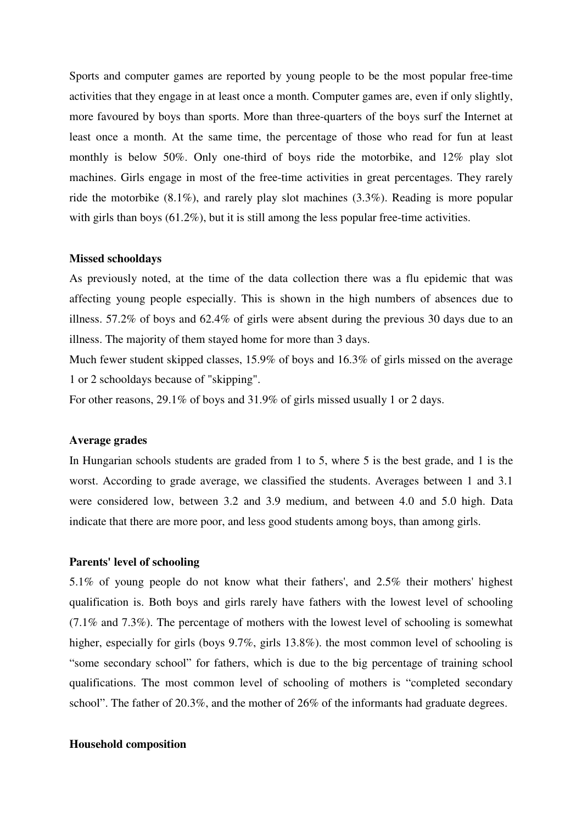Sports and computer games are reported by young people to be the most popular free-time activities that they engage in at least once a month. Computer games are, even if only slightly, more favoured by boys than sports. More than three-quarters of the boys surf the Internet at least once a month. At the same time, the percentage of those who read for fun at least monthly is below 50%. Only one-third of boys ride the motorbike, and 12% play slot machines. Girls engage in most of the free-time activities in great percentages. They rarely ride the motorbike (8.1%), and rarely play slot machines (3.3%). Reading is more popular with girls than boys (61.2%), but it is still among the less popular free-time activities.

#### **Missed schooldays**

As previously noted, at the time of the data collection there was a flu epidemic that was affecting young people especially. This is shown in the high numbers of absences due to illness. 57.2% of boys and 62.4% of girls were absent during the previous 30 days due to an illness. The majority of them stayed home for more than 3 days.

Much fewer student skipped classes, 15.9% of boys and 16.3% of girls missed on the average 1 or 2 schooldays because of "skipping".

For other reasons, 29.1% of boys and 31.9% of girls missed usually 1 or 2 days.

#### **Average grades**

In Hungarian schools students are graded from 1 to 5, where 5 is the best grade, and 1 is the worst. According to grade average, we classified the students. Averages between 1 and 3.1 were considered low, between 3.2 and 3.9 medium, and between 4.0 and 5.0 high. Data indicate that there are more poor, and less good students among boys, than among girls.

#### **Parents' level of schooling**

5.1% of young people do not know what their fathers', and 2.5% their mothers' highest qualification is. Both boys and girls rarely have fathers with the lowest level of schooling (7.1% and 7.3%). The percentage of mothers with the lowest level of schooling is somewhat higher, especially for girls (boys 9.7%, girls 13.8%). the most common level of schooling is "some secondary school" for fathers, which is due to the big percentage of training school qualifications. The most common level of schooling of mothers is "completed secondary school". The father of 20.3%, and the mother of 26% of the informants had graduate degrees.

#### **Household composition**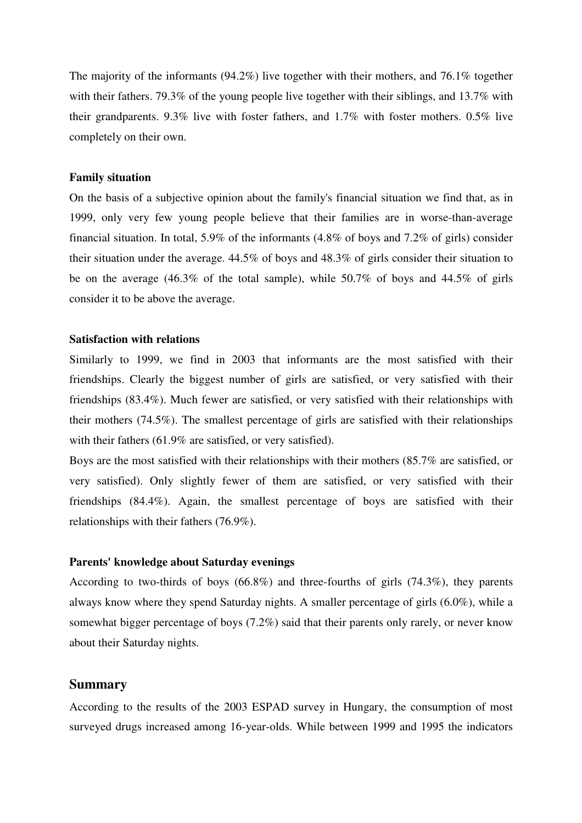The majority of the informants (94.2%) live together with their mothers, and 76.1% together with their fathers. 79.3% of the young people live together with their siblings, and 13.7% with their grandparents. 9.3% live with foster fathers, and 1.7% with foster mothers. 0.5% live completely on their own.

#### **Family situation**

On the basis of a subjective opinion about the family's financial situation we find that, as in 1999, only very few young people believe that their families are in worse-than-average financial situation. In total, 5.9% of the informants (4.8% of boys and 7.2% of girls) consider their situation under the average. 44.5% of boys and 48.3% of girls consider their situation to be on the average (46.3% of the total sample), while 50.7% of boys and 44.5% of girls consider it to be above the average.

### **Satisfaction with relations**

Similarly to 1999, we find in 2003 that informants are the most satisfied with their friendships. Clearly the biggest number of girls are satisfied, or very satisfied with their friendships (83.4%). Much fewer are satisfied, or very satisfied with their relationships with their mothers (74.5%). The smallest percentage of girls are satisfied with their relationships with their fathers (61.9% are satisfied, or very satisfied).

Boys are the most satisfied with their relationships with their mothers (85.7% are satisfied, or very satisfied). Only slightly fewer of them are satisfied, or very satisfied with their friendships (84.4%). Again, the smallest percentage of boys are satisfied with their relationships with their fathers (76.9%).

# **Parents' knowledge about Saturday evenings**

According to two-thirds of boys (66.8%) and three-fourths of girls (74.3%), they parents always know where they spend Saturday nights. A smaller percentage of girls (6.0%), while a somewhat bigger percentage of boys (7.2%) said that their parents only rarely, or never know about their Saturday nights.

## **Summary**

According to the results of the 2003 ESPAD survey in Hungary, the consumption of most surveyed drugs increased among 16-year-olds. While between 1999 and 1995 the indicators